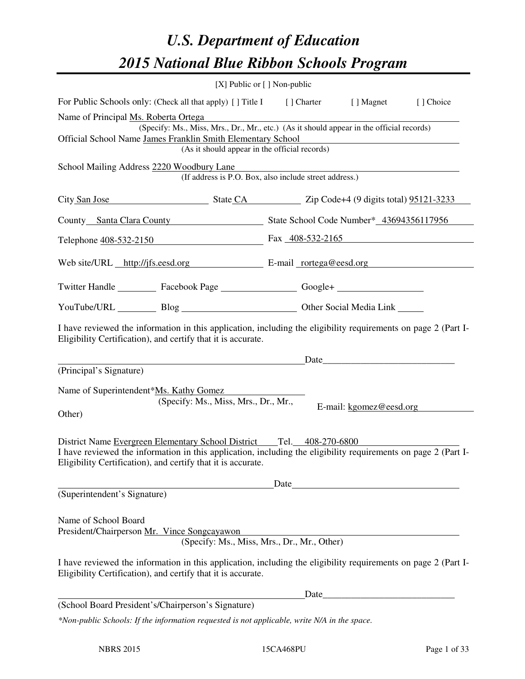# *U.S. Department of Education 2015 National Blue Ribbon Schools Program*

|                                                                                                                                                                                |                                                                                                                                                                                                                                | [X] Public or $[$ ] Non-public |                         |           |  |  |
|--------------------------------------------------------------------------------------------------------------------------------------------------------------------------------|--------------------------------------------------------------------------------------------------------------------------------------------------------------------------------------------------------------------------------|--------------------------------|-------------------------|-----------|--|--|
| For Public Schools only: (Check all that apply) [] Title I [] Charter [] Magnet                                                                                                |                                                                                                                                                                                                                                |                                |                         | [] Choice |  |  |
| Name of Principal Ms. Roberta Ortega<br>(Specify: Ms., Miss, Mrs., Dr., Mr., etc.) (As it should appear in the official records)                                               |                                                                                                                                                                                                                                |                                |                         |           |  |  |
| Official School Name James Franklin Smith Elementary School                                                                                                                    |                                                                                                                                                                                                                                |                                |                         |           |  |  |
| (As it should appear in the official records)                                                                                                                                  |                                                                                                                                                                                                                                |                                |                         |           |  |  |
| School Mailing Address 2220 Woodbury Lane                                                                                                                                      | (If address is P.O. Box, also include street address.)                                                                                                                                                                         |                                |                         |           |  |  |
| City San Jose State CA Zip Code+4 (9 digits total) 95121-3233                                                                                                                  |                                                                                                                                                                                                                                |                                |                         |           |  |  |
| County Santa Clara County State School Code Number* 43694356117956                                                                                                             |                                                                                                                                                                                                                                |                                |                         |           |  |  |
| Telephone <u>408-532-2150</u> Fax 408-532-2165                                                                                                                                 |                                                                                                                                                                                                                                |                                |                         |           |  |  |
| Web site/URL http://jfs.eesd.org E-mail rortega@eesd.org                                                                                                                       |                                                                                                                                                                                                                                |                                |                         |           |  |  |
| Twitter Handle ___________ Facebook Page ___________________ Google+ ____________                                                                                              |                                                                                                                                                                                                                                |                                |                         |           |  |  |
| YouTube/URL Blog Blog Cher Social Media Link                                                                                                                                   |                                                                                                                                                                                                                                |                                |                         |           |  |  |
| I have reviewed the information in this application, including the eligibility requirements on page 2 (Part I-<br>Eligibility Certification), and certify that it is accurate. |                                                                                                                                                                                                                                |                                |                         |           |  |  |
|                                                                                                                                                                                | Date Date Date Date Property of the Contract of the Contract of the Contract of the Contract of the Contract of the Contract of the Contract of the Contract of the Contract of the Contract of the Contract of the Contract o |                                |                         |           |  |  |
| (Principal's Signature)<br>Name of Superintendent*Ms. Kathy Gomez<br>Other)                                                                                                    | (Specify: Ms., Miss, Mrs., Dr., Mr.,                                                                                                                                                                                           |                                | E-mail: kgomez@eesd.org |           |  |  |
| District Name Evergreen Elementary School District Tel. 408-270-6800                                                                                                           |                                                                                                                                                                                                                                |                                |                         |           |  |  |
| I have reviewed the information in this application, including the eligibility requirements on page 2 (Part I-<br>Eligibility Certification), and certify that it is accurate. |                                                                                                                                                                                                                                |                                |                         |           |  |  |
|                                                                                                                                                                                |                                                                                                                                                                                                                                | Date                           |                         |           |  |  |
| (Superintendent's Signature)                                                                                                                                                   |                                                                                                                                                                                                                                |                                |                         |           |  |  |
| Name of School Board<br>President/Chairperson Mr. Vince Songcayawon                                                                                                            | (Specify: Ms., Miss, Mrs., Dr., Mr., Other)                                                                                                                                                                                    |                                |                         |           |  |  |
| I have reviewed the information in this application, including the eligibility requirements on page 2 (Part I-<br>Eligibility Certification), and certify that it is accurate. |                                                                                                                                                                                                                                |                                |                         |           |  |  |
|                                                                                                                                                                                |                                                                                                                                                                                                                                | Date                           |                         |           |  |  |
| (School Board President's/Chairperson's Signature)                                                                                                                             |                                                                                                                                                                                                                                |                                |                         |           |  |  |
| *Non-public Schools: If the information requested is not applicable, write N/A in the space.                                                                                   |                                                                                                                                                                                                                                |                                |                         |           |  |  |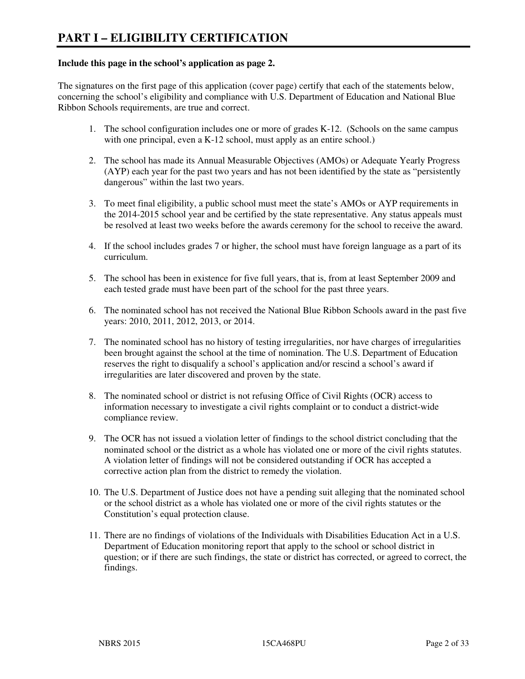#### **Include this page in the school's application as page 2.**

The signatures on the first page of this application (cover page) certify that each of the statements below, concerning the school's eligibility and compliance with U.S. Department of Education and National Blue Ribbon Schools requirements, are true and correct.

- 1. The school configuration includes one or more of grades K-12. (Schools on the same campus with one principal, even a K-12 school, must apply as an entire school.)
- 2. The school has made its Annual Measurable Objectives (AMOs) or Adequate Yearly Progress (AYP) each year for the past two years and has not been identified by the state as "persistently dangerous" within the last two years.
- 3. To meet final eligibility, a public school must meet the state's AMOs or AYP requirements in the 2014-2015 school year and be certified by the state representative. Any status appeals must be resolved at least two weeks before the awards ceremony for the school to receive the award.
- 4. If the school includes grades 7 or higher, the school must have foreign language as a part of its curriculum.
- 5. The school has been in existence for five full years, that is, from at least September 2009 and each tested grade must have been part of the school for the past three years.
- 6. The nominated school has not received the National Blue Ribbon Schools award in the past five years: 2010, 2011, 2012, 2013, or 2014.
- 7. The nominated school has no history of testing irregularities, nor have charges of irregularities been brought against the school at the time of nomination. The U.S. Department of Education reserves the right to disqualify a school's application and/or rescind a school's award if irregularities are later discovered and proven by the state.
- 8. The nominated school or district is not refusing Office of Civil Rights (OCR) access to information necessary to investigate a civil rights complaint or to conduct a district-wide compliance review.
- 9. The OCR has not issued a violation letter of findings to the school district concluding that the nominated school or the district as a whole has violated one or more of the civil rights statutes. A violation letter of findings will not be considered outstanding if OCR has accepted a corrective action plan from the district to remedy the violation.
- 10. The U.S. Department of Justice does not have a pending suit alleging that the nominated school or the school district as a whole has violated one or more of the civil rights statutes or the Constitution's equal protection clause.
- 11. There are no findings of violations of the Individuals with Disabilities Education Act in a U.S. Department of Education monitoring report that apply to the school or school district in question; or if there are such findings, the state or district has corrected, or agreed to correct, the findings.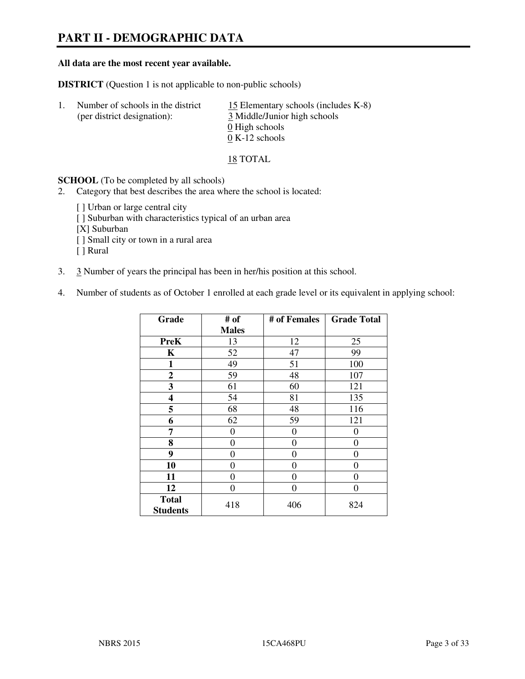# **PART II - DEMOGRAPHIC DATA**

#### **All data are the most recent year available.**

**DISTRICT** (Question 1 is not applicable to non-public schools)

| Number of schools in the district<br>(per district designation): | 15 Elementary schools (includes K-8)<br>3 Middle/Junior high schools |
|------------------------------------------------------------------|----------------------------------------------------------------------|
|                                                                  | 0 High schools                                                       |
|                                                                  | $0 K-12$ schools                                                     |

18 TOTAL

**SCHOOL** (To be completed by all schools)

- 2. Category that best describes the area where the school is located:
	- [ ] Urban or large central city
	- [ ] Suburban with characteristics typical of an urban area
	- [X] Suburban
	- [ ] Small city or town in a rural area
	- [ ] Rural
- 3. 3 Number of years the principal has been in her/his position at this school.
- 4. Number of students as of October 1 enrolled at each grade level or its equivalent in applying school:

| Grade                           | # of           | # of Females | <b>Grade Total</b> |
|---------------------------------|----------------|--------------|--------------------|
|                                 | <b>Males</b>   |              |                    |
| <b>PreK</b>                     | 13             | 12           | 25                 |
| K                               | 52             | 47           | 99                 |
| $\mathbf{1}$                    | 49             | 51           | 100                |
| $\mathbf{2}$                    | 59             | 48           | 107                |
| 3                               | 61             | 60           | 121                |
| 4                               | 54             | 81           | 135                |
| 5                               | 68             | 48           | 116                |
| 6                               | 62             | 59           | 121                |
| 7                               | 0              | 0            | 0                  |
| 8                               | $\overline{0}$ | $\theta$     | 0                  |
| 9                               | $\theta$       | $\theta$     | 0                  |
| 10                              | 0              | 0            | 0                  |
| 11                              | 0              | 0            | 0                  |
| 12                              | 0              | 0            | 0                  |
| <b>Total</b><br><b>Students</b> | 418            | 406          | 824                |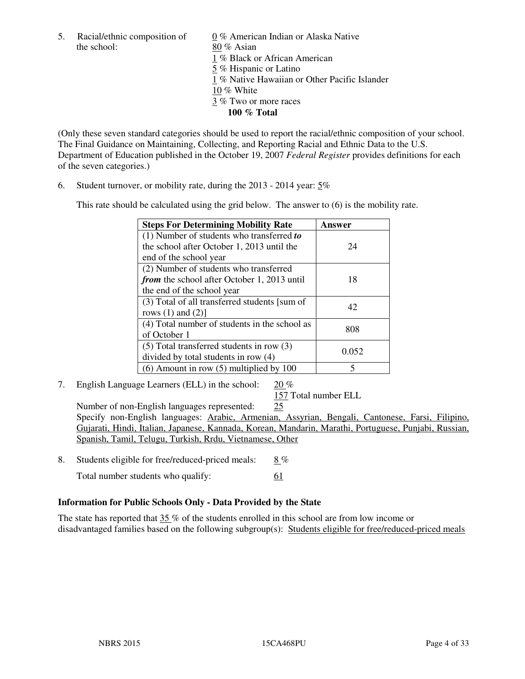the school: 80 % Asian

5. Racial/ethnic composition of 0 % American Indian or Alaska Native 1 % Black or African American 5 % Hispanic or Latino 1 % Native Hawaiian or Other Pacific Islander 10 % White 3 % Two or more races **100 % Total** 

(Only these seven standard categories should be used to report the racial/ethnic composition of your school. The Final Guidance on Maintaining, Collecting, and Reporting Racial and Ethnic Data to the U.S. Department of Education published in the October 19, 2007 *Federal Register* provides definitions for each of the seven categories.)

6. Student turnover, or mobility rate, during the 2013 - 2014 year: 5%

This rate should be calculated using the grid below. The answer to (6) is the mobility rate.

| <b>Steps For Determining Mobility Rate</b>         | Answer |  |
|----------------------------------------------------|--------|--|
| $(1)$ Number of students who transferred to        |        |  |
| the school after October 1, 2013 until the         | 24     |  |
| end of the school year                             |        |  |
| (2) Number of students who transferred             |        |  |
| <i>from</i> the school after October 1, 2013 until | 18     |  |
| the end of the school year                         |        |  |
| (3) Total of all transferred students [sum of      | 42     |  |
| rows $(1)$ and $(2)$ ]                             |        |  |
| (4) Total number of students in the school as      | 808    |  |
| of October 1                                       |        |  |
| $(5)$ Total transferred students in row $(3)$      |        |  |
| divided by total students in row (4)               | 0.052  |  |
| $(6)$ Amount in row $(5)$ multiplied by 100        | 5      |  |

7. English Language Learners (ELL) in the school: 20 %

157 Total number ELL

 Number of non-English languages represented: 25 Specify non-English languages: Arabic, Armenian, Assyrian, Bengali, Cantonese, Farsi, Filipino, Gujarati, Hindi, Italian, Japanese, Kannada, Korean, Mandarin, Marathi, Portuguese, Punjabi, Russian, Spanish, Tamil, Telugu, Turkish, Rrdu, Vietnamese, Other

8. Students eligible for free/reduced-priced meals: 8 %

Total number students who qualify: 61

# **Information for Public Schools Only - Data Provided by the State**

The state has reported that  $35\%$  of the students enrolled in this school are from low income or disadvantaged families based on the following subgroup(s): Students eligible for free/reduced-priced meals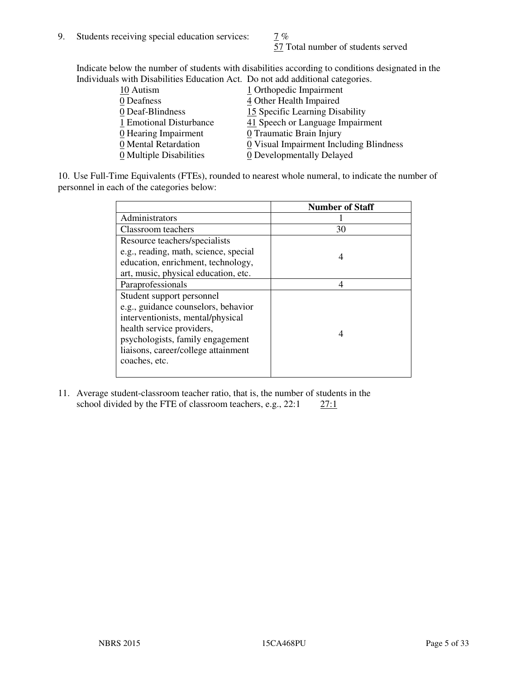57 Total number of students served

Indicate below the number of students with disabilities according to conditions designated in the Individuals with Disabilities Education Act. Do not add additional categories.

| <u>marritano with Disachitity Buatanon ritti Do not auu auunchai talegorito.</u> |                                         |
|----------------------------------------------------------------------------------|-----------------------------------------|
| 10 Autism                                                                        | 1 Orthopedic Impairment                 |
| 0 Deafness                                                                       | 4 Other Health Impaired                 |
| 0 Deaf-Blindness                                                                 | 15 Specific Learning Disability         |
| 1 Emotional Disturbance                                                          | 41 Speech or Language Impairment        |
| 0 Hearing Impairment                                                             | 0 Traumatic Brain Injury                |
| 0 Mental Retardation                                                             | 0 Visual Impairment Including Blindness |
| 0 Multiple Disabilities                                                          | 0 Developmentally Delayed               |
|                                                                                  |                                         |

10. Use Full-Time Equivalents (FTEs), rounded to nearest whole numeral, to indicate the number of personnel in each of the categories below:

|                                       | <b>Number of Staff</b> |
|---------------------------------------|------------------------|
| Administrators                        |                        |
| Classroom teachers                    | 30                     |
| Resource teachers/specialists         |                        |
| e.g., reading, math, science, special | 4                      |
| education, enrichment, technology,    |                        |
| art, music, physical education, etc.  |                        |
| Paraprofessionals                     | 4                      |
| Student support personnel             |                        |
| e.g., guidance counselors, behavior   |                        |
| interventionists, mental/physical     |                        |
| health service providers,             | 4                      |
| psychologists, family engagement      |                        |
| liaisons, career/college attainment   |                        |
| coaches, etc.                         |                        |
|                                       |                        |

11. Average student-classroom teacher ratio, that is, the number of students in the school divided by the FTE of classroom teachers, e.g.,  $22:1$   $27:1$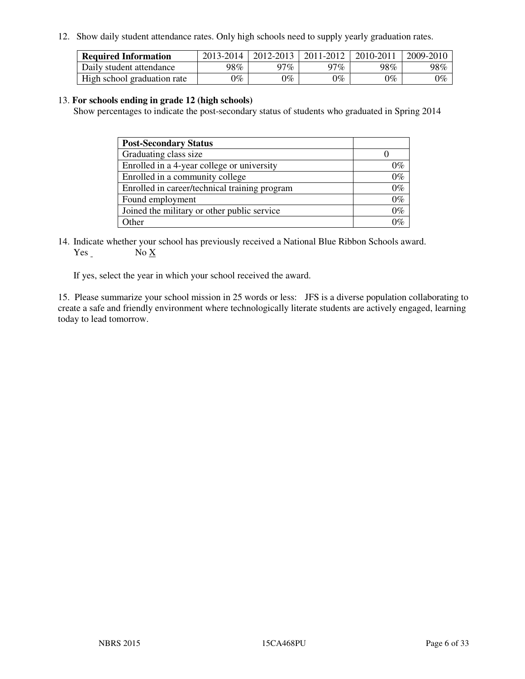12. Show daily student attendance rates. Only high schools need to supply yearly graduation rates.

| <b>Required Information</b> | 2013-2014     | 2012-2013       | 2011-2012 | 2010-2011 | 2009-2010 |
|-----------------------------|---------------|-----------------|-----------|-----------|-----------|
| Daily student attendance    | 98%           | 97%             | $27\%$    | 98%       | 98%       |
| High school graduation rate | $\gamma_{\%}$ | $\mathcal{V}_o$ | $0\%$     | 0%        | 0%        |

#### 13. **For schools ending in grade 12 (high schools)**

Show percentages to indicate the post-secondary status of students who graduated in Spring 2014

| <b>Post-Secondary Status</b>                  |       |
|-----------------------------------------------|-------|
| Graduating class size                         |       |
| Enrolled in a 4-year college or university    | 0%    |
| Enrolled in a community college               | $0\%$ |
| Enrolled in career/technical training program | $0\%$ |
| Found employment                              | $0\%$ |
| Joined the military or other public service   | $0\%$ |
| Other                                         | ነር    |

14. Indicate whether your school has previously received a National Blue Ribbon Schools award. Yes No X

If yes, select the year in which your school received the award.

15. Please summarize your school mission in 25 words or less: JFS is a diverse population collaborating to create a safe and friendly environment where technologically literate students are actively engaged, learning today to lead tomorrow.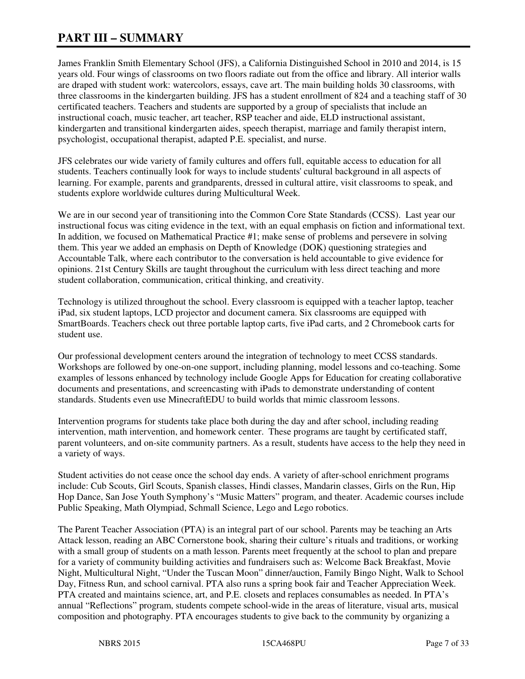# **PART III – SUMMARY**

James Franklin Smith Elementary School (JFS), a California Distinguished School in 2010 and 2014, is 15 years old. Four wings of classrooms on two floors radiate out from the office and library. All interior walls are draped with student work: watercolors, essays, cave art. The main building holds 30 classrooms, with three classrooms in the kindergarten building. JFS has a student enrollment of 824 and a teaching staff of 30 certificated teachers. Teachers and students are supported by a group of specialists that include an instructional coach, music teacher, art teacher, RSP teacher and aide, ELD instructional assistant, kindergarten and transitional kindergarten aides, speech therapist, marriage and family therapist intern, psychologist, occupational therapist, adapted P.E. specialist, and nurse.

JFS celebrates our wide variety of family cultures and offers full, equitable access to education for all students. Teachers continually look for ways to include students' cultural background in all aspects of learning. For example, parents and grandparents, dressed in cultural attire, visit classrooms to speak, and students explore worldwide cultures during Multicultural Week.

We are in our second year of transitioning into the Common Core State Standards (CCSS). Last year our instructional focus was citing evidence in the text, with an equal emphasis on fiction and informational text. In addition, we focused on Mathematical Practice #1; make sense of problems and persevere in solving them. This year we added an emphasis on Depth of Knowledge (DOK) questioning strategies and Accountable Talk, where each contributor to the conversation is held accountable to give evidence for opinions. 21st Century Skills are taught throughout the curriculum with less direct teaching and more student collaboration, communication, critical thinking, and creativity.

Technology is utilized throughout the school. Every classroom is equipped with a teacher laptop, teacher iPad, six student laptops, LCD projector and document camera. Six classrooms are equipped with SmartBoards. Teachers check out three portable laptop carts, five iPad carts, and 2 Chromebook carts for student use.

Our professional development centers around the integration of technology to meet CCSS standards. Workshops are followed by one-on-one support, including planning, model lessons and co-teaching. Some examples of lessons enhanced by technology include Google Apps for Education for creating collaborative documents and presentations, and screencasting with iPads to demonstrate understanding of content standards. Students even use MinecraftEDU to build worlds that mimic classroom lessons.

Intervention programs for students take place both during the day and after school, including reading intervention, math intervention, and homework center. These programs are taught by certificated staff, parent volunteers, and on-site community partners. As a result, students have access to the help they need in a variety of ways.

Student activities do not cease once the school day ends. A variety of after-school enrichment programs include: Cub Scouts, Girl Scouts, Spanish classes, Hindi classes, Mandarin classes, Girls on the Run, Hip Hop Dance, San Jose Youth Symphony's "Music Matters" program, and theater. Academic courses include Public Speaking, Math Olympiad, Schmall Science, Lego and Lego robotics.

The Parent Teacher Association (PTA) is an integral part of our school. Parents may be teaching an Arts Attack lesson, reading an ABC Cornerstone book, sharing their culture's rituals and traditions, or working with a small group of students on a math lesson. Parents meet frequently at the school to plan and prepare for a variety of community building activities and fundraisers such as: Welcome Back Breakfast, Movie Night, Multicultural Night, "Under the Tuscan Moon" dinner/auction, Family Bingo Night, Walk to School Day, Fitness Run, and school carnival. PTA also runs a spring book fair and Teacher Appreciation Week. PTA created and maintains science, art, and P.E. closets and replaces consumables as needed. In PTA's annual "Reflections" program, students compete school-wide in the areas of literature, visual arts, musical composition and photography. PTA encourages students to give back to the community by organizing a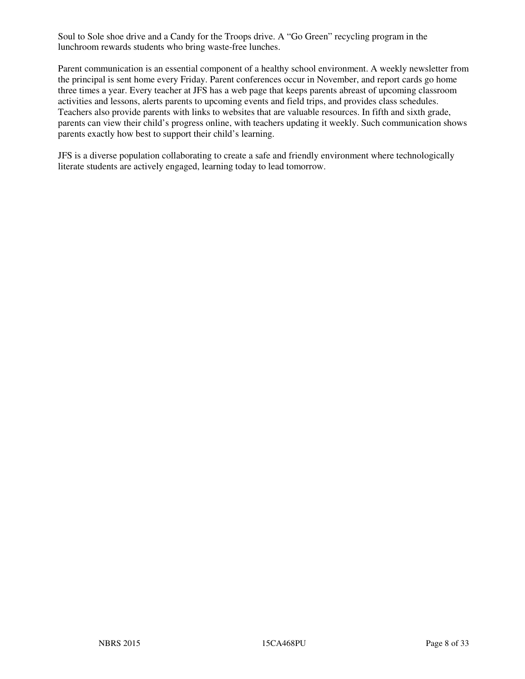Soul to Sole shoe drive and a Candy for the Troops drive. A "Go Green" recycling program in the lunchroom rewards students who bring waste-free lunches.

Parent communication is an essential component of a healthy school environment. A weekly newsletter from the principal is sent home every Friday. Parent conferences occur in November, and report cards go home three times a year. Every teacher at JFS has a web page that keeps parents abreast of upcoming classroom activities and lessons, alerts parents to upcoming events and field trips, and provides class schedules. Teachers also provide parents with links to websites that are valuable resources. In fifth and sixth grade, parents can view their child's progress online, with teachers updating it weekly. Such communication shows parents exactly how best to support their child's learning.

JFS is a diverse population collaborating to create a safe and friendly environment where technologically literate students are actively engaged, learning today to lead tomorrow.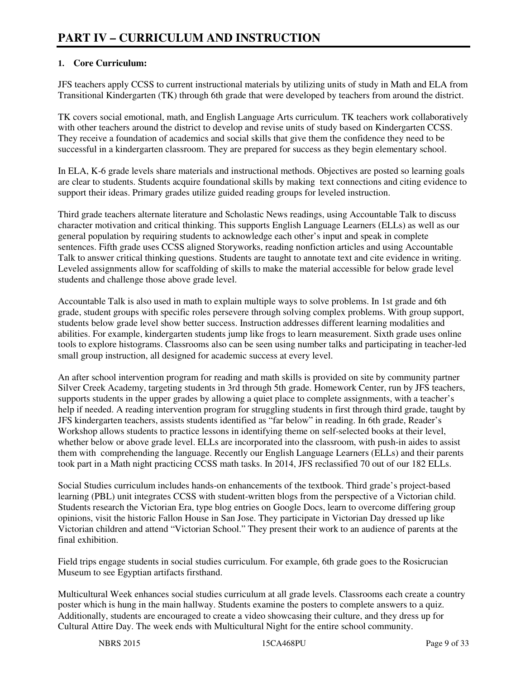# **1. Core Curriculum:**

JFS teachers apply CCSS to current instructional materials by utilizing units of study in Math and ELA from Transitional Kindergarten (TK) through 6th grade that were developed by teachers from around the district.

TK covers social emotional, math, and English Language Arts curriculum. TK teachers work collaboratively with other teachers around the district to develop and revise units of study based on Kindergarten CCSS. They receive a foundation of academics and social skills that give them the confidence they need to be successful in a kindergarten classroom. They are prepared for success as they begin elementary school.

In ELA, K-6 grade levels share materials and instructional methods. Objectives are posted so learning goals are clear to students. Students acquire foundational skills by making text connections and citing evidence to support their ideas. Primary grades utilize guided reading groups for leveled instruction.

Third grade teachers alternate literature and Scholastic News readings, using Accountable Talk to discuss character motivation and critical thinking. This supports English Language Learners (ELLs) as well as our general population by requiring students to acknowledge each other's input and speak in complete sentences. Fifth grade uses CCSS aligned Storyworks, reading nonfiction articles and using Accountable Talk to answer critical thinking questions. Students are taught to annotate text and cite evidence in writing. Leveled assignments allow for scaffolding of skills to make the material accessible for below grade level students and challenge those above grade level.

Accountable Talk is also used in math to explain multiple ways to solve problems. In 1st grade and 6th grade, student groups with specific roles persevere through solving complex problems. With group support, students below grade level show better success. Instruction addresses different learning modalities and abilities. For example, kindergarten students jump like frogs to learn measurement. Sixth grade uses online tools to explore histograms. Classrooms also can be seen using number talks and participating in teacher-led small group instruction, all designed for academic success at every level.

An after school intervention program for reading and math skills is provided on site by community partner Silver Creek Academy, targeting students in 3rd through 5th grade. Homework Center, run by JFS teachers, supports students in the upper grades by allowing a quiet place to complete assignments, with a teacher's help if needed. A reading intervention program for struggling students in first through third grade, taught by JFS kindergarten teachers, assists students identified as "far below" in reading. In 6th grade, Reader's Workshop allows students to practice lessons in identifying theme on self-selected books at their level, whether below or above grade level. ELLs are incorporated into the classroom, with push-in aides to assist them with comprehending the language. Recently our English Language Learners (ELLs) and their parents took part in a Math night practicing CCSS math tasks. In 2014, JFS reclassified 70 out of our 182 ELLs.

Social Studies curriculum includes hands-on enhancements of the textbook. Third grade's project-based learning (PBL) unit integrates CCSS with student-written blogs from the perspective of a Victorian child. Students research the Victorian Era, type blog entries on Google Docs, learn to overcome differing group opinions, visit the historic Fallon House in San Jose. They participate in Victorian Day dressed up like Victorian children and attend "Victorian School." They present their work to an audience of parents at the final exhibition.

Field trips engage students in social studies curriculum. For example, 6th grade goes to the Rosicrucian Museum to see Egyptian artifacts firsthand.

Multicultural Week enhances social studies curriculum at all grade levels. Classrooms each create a country poster which is hung in the main hallway. Students examine the posters to complete answers to a quiz. Additionally, students are encouraged to create a video showcasing their culture, and they dress up for Cultural Attire Day. The week ends with Multicultural Night for the entire school community.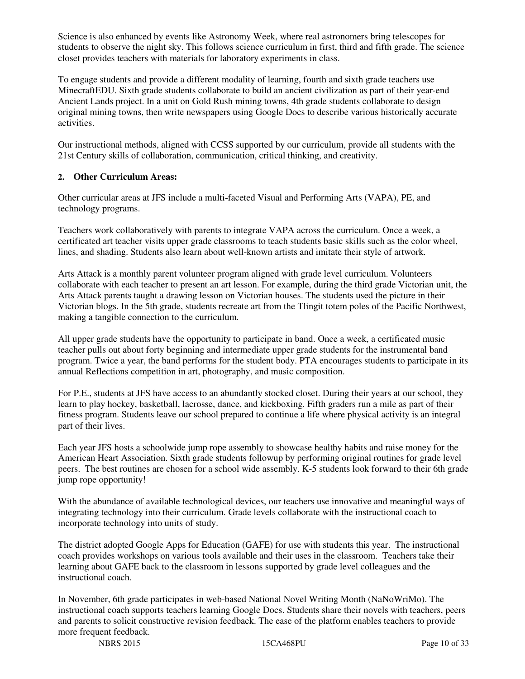Science is also enhanced by events like Astronomy Week, where real astronomers bring telescopes for students to observe the night sky. This follows science curriculum in first, third and fifth grade. The science closet provides teachers with materials for laboratory experiments in class.

To engage students and provide a different modality of learning, fourth and sixth grade teachers use MinecraftEDU. Sixth grade students collaborate to build an ancient civilization as part of their year-end Ancient Lands project. In a unit on Gold Rush mining towns, 4th grade students collaborate to design original mining towns, then write newspapers using Google Docs to describe various historically accurate activities.

Our instructional methods, aligned with CCSS supported by our curriculum, provide all students with the 21st Century skills of collaboration, communication, critical thinking, and creativity.

## **2. Other Curriculum Areas:**

Other curricular areas at JFS include a multi-faceted Visual and Performing Arts (VAPA), PE, and technology programs.

Teachers work collaboratively with parents to integrate VAPA across the curriculum. Once a week, a certificated art teacher visits upper grade classrooms to teach students basic skills such as the color wheel, lines, and shading. Students also learn about well-known artists and imitate their style of artwork.

Arts Attack is a monthly parent volunteer program aligned with grade level curriculum. Volunteers collaborate with each teacher to present an art lesson. For example, during the third grade Victorian unit, the Arts Attack parents taught a drawing lesson on Victorian houses. The students used the picture in their Victorian blogs. In the 5th grade, students recreate art from the Tlingit totem poles of the Pacific Northwest, making a tangible connection to the curriculum.

All upper grade students have the opportunity to participate in band. Once a week, a certificated music teacher pulls out about forty beginning and intermediate upper grade students for the instrumental band program. Twice a year, the band performs for the student body. PTA encourages students to participate in its annual Reflections competition in art, photography, and music composition.

For P.E., students at JFS have access to an abundantly stocked closet. During their years at our school, they learn to play hockey, basketball, lacrosse, dance, and kickboxing. Fifth graders run a mile as part of their fitness program. Students leave our school prepared to continue a life where physical activity is an integral part of their lives.

Each year JFS hosts a schoolwide jump rope assembly to showcase healthy habits and raise money for the American Heart Association. Sixth grade students followup by performing original routines for grade level peers. The best routines are chosen for a school wide assembly. K-5 students look forward to their 6th grade jump rope opportunity!

With the abundance of available technological devices, our teachers use innovative and meaningful ways of integrating technology into their curriculum. Grade levels collaborate with the instructional coach to incorporate technology into units of study.

The district adopted Google Apps for Education (GAFE) for use with students this year. The instructional coach provides workshops on various tools available and their uses in the classroom. Teachers take their learning about GAFE back to the classroom in lessons supported by grade level colleagues and the instructional coach.

In November, 6th grade participates in web-based National Novel Writing Month (NaNoWriMo). The instructional coach supports teachers learning Google Docs. Students share their novels with teachers, peers and parents to solicit constructive revision feedback. The ease of the platform enables teachers to provide more frequent feedback.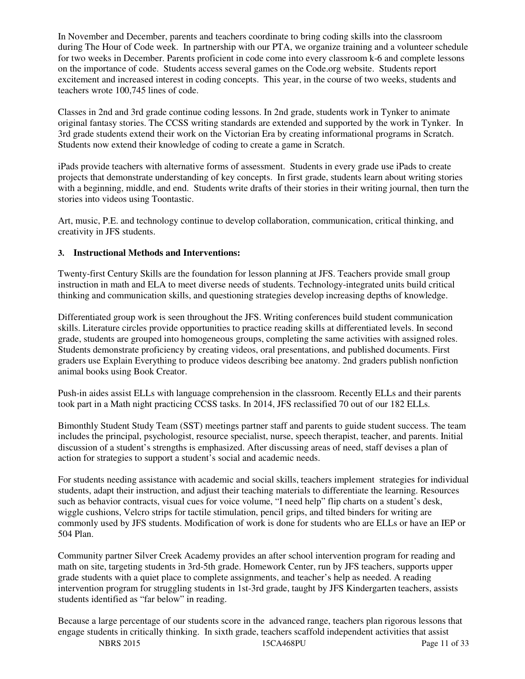In November and December, parents and teachers coordinate to bring coding skills into the classroom during The Hour of Code week. In partnership with our PTA, we organize training and a volunteer schedule for two weeks in December. Parents proficient in code come into every classroom k-6 and complete lessons on the importance of code. Students access several games on the Code.org website. Students report excitement and increased interest in coding concepts. This year, in the course of two weeks, students and teachers wrote 100,745 lines of code.

Classes in 2nd and 3rd grade continue coding lessons. In 2nd grade, students work in Tynker to animate original fantasy stories. The CCSS writing standards are extended and supported by the work in Tynker. In 3rd grade students extend their work on the Victorian Era by creating informational programs in Scratch. Students now extend their knowledge of coding to create a game in Scratch.

iPads provide teachers with alternative forms of assessment. Students in every grade use iPads to create projects that demonstrate understanding of key concepts. In first grade, students learn about writing stories with a beginning, middle, and end. Students write drafts of their stories in their writing journal, then turn the stories into videos using Toontastic.

Art, music, P.E. and technology continue to develop collaboration, communication, critical thinking, and creativity in JFS students.

#### **3. Instructional Methods and Interventions:**

Twenty-first Century Skills are the foundation for lesson planning at JFS. Teachers provide small group instruction in math and ELA to meet diverse needs of students. Technology-integrated units build critical thinking and communication skills, and questioning strategies develop increasing depths of knowledge.

Differentiated group work is seen throughout the JFS. Writing conferences build student communication skills. Literature circles provide opportunities to practice reading skills at differentiated levels. In second grade, students are grouped into homogeneous groups, completing the same activities with assigned roles. Students demonstrate proficiency by creating videos, oral presentations, and published documents. First graders use Explain Everything to produce videos describing bee anatomy. 2nd graders publish nonfiction animal books using Book Creator.

Push-in aides assist ELLs with language comprehension in the classroom. Recently ELLs and their parents took part in a Math night practicing CCSS tasks. In 2014, JFS reclassified 70 out of our 182 ELLs.

Bimonthly Student Study Team (SST) meetings partner staff and parents to guide student success. The team includes the principal, psychologist, resource specialist, nurse, speech therapist, teacher, and parents. Initial discussion of a student's strengths is emphasized. After discussing areas of need, staff devises a plan of action for strategies to support a student's social and academic needs.

For students needing assistance with academic and social skills, teachers implement strategies for individual students, adapt their instruction, and adjust their teaching materials to differentiate the learning. Resources such as behavior contracts, visual cues for voice volume, "I need help" flip charts on a student's desk, wiggle cushions, Velcro strips for tactile stimulation, pencil grips, and tilted binders for writing are commonly used by JFS students. Modification of work is done for students who are ELLs or have an IEP or 504 Plan.

Community partner Silver Creek Academy provides an after school intervention program for reading and math on site, targeting students in 3rd-5th grade. Homework Center, run by JFS teachers, supports upper grade students with a quiet place to complete assignments, and teacher's help as needed. A reading intervention program for struggling students in 1st-3rd grade, taught by JFS Kindergarten teachers, assists students identified as "far below" in reading.

Because a large percentage of our students score in the advanced range, teachers plan rigorous lessons that engage students in critically thinking. In sixth grade, teachers scaffold independent activities that assist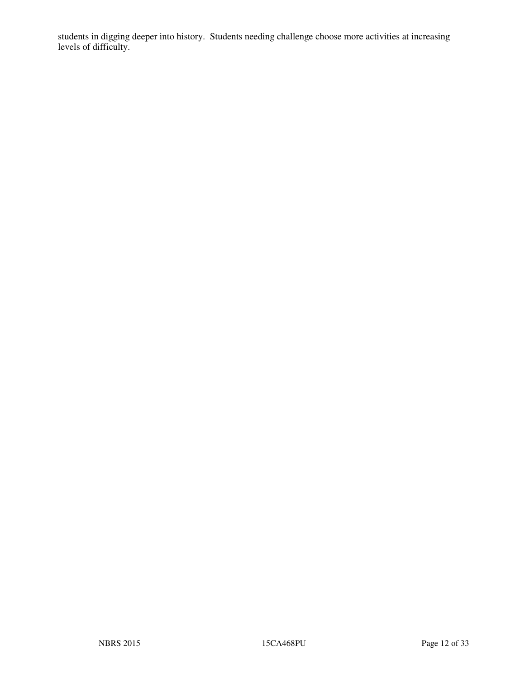students in digging deeper into history. Students needing challenge choose more activities at increasing levels of difficulty.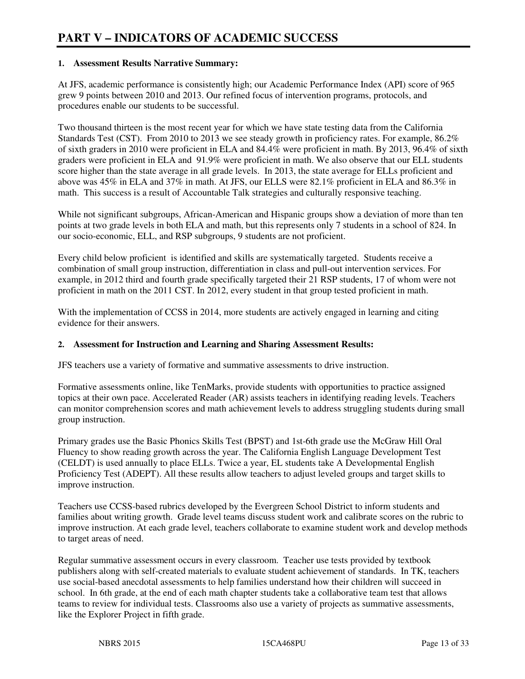#### **1. Assessment Results Narrative Summary:**

At JFS, academic performance is consistently high; our Academic Performance Index (API) score of 965 grew 9 points between 2010 and 2013. Our refined focus of intervention programs, protocols, and procedures enable our students to be successful.

Two thousand thirteen is the most recent year for which we have state testing data from the California Standards Test (CST). From 2010 to 2013 we see steady growth in proficiency rates. For example, 86.2% of sixth graders in 2010 were proficient in ELA and 84.4% were proficient in math. By 2013, 96.4% of sixth graders were proficient in ELA and 91.9% were proficient in math. We also observe that our ELL students score higher than the state average in all grade levels. In 2013, the state average for ELLs proficient and above was 45% in ELA and 37% in math. At JFS, our ELLS were 82.1% proficient in ELA and 86.3% in math. This success is a result of Accountable Talk strategies and culturally responsive teaching.

While not significant subgroups, African-American and Hispanic groups show a deviation of more than ten points at two grade levels in both ELA and math, but this represents only 7 students in a school of 824. In our socio-economic, ELL, and RSP subgroups, 9 students are not proficient.

Every child below proficient is identified and skills are systematically targeted. Students receive a combination of small group instruction, differentiation in class and pull-out intervention services. For example, in 2012 third and fourth grade specifically targeted their 21 RSP students, 17 of whom were not proficient in math on the 2011 CST. In 2012, every student in that group tested proficient in math.

With the implementation of CCSS in 2014, more students are actively engaged in learning and citing evidence for their answers.

#### **2. Assessment for Instruction and Learning and Sharing Assessment Results:**

JFS teachers use a variety of formative and summative assessments to drive instruction.

Formative assessments online, like TenMarks, provide students with opportunities to practice assigned topics at their own pace. Accelerated Reader (AR) assists teachers in identifying reading levels. Teachers can monitor comprehension scores and math achievement levels to address struggling students during small group instruction.

Primary grades use the Basic Phonics Skills Test (BPST) and 1st-6th grade use the McGraw Hill Oral Fluency to show reading growth across the year. The California English Language Development Test (CELDT) is used annually to place ELLs. Twice a year, EL students take A Developmental English Proficiency Test (ADEPT). All these results allow teachers to adjust leveled groups and target skills to improve instruction.

Teachers use CCSS-based rubrics developed by the Evergreen School District to inform students and families about writing growth. Grade level teams discuss student work and calibrate scores on the rubric to improve instruction. At each grade level, teachers collaborate to examine student work and develop methods to target areas of need.

Regular summative assessment occurs in every classroom. Teacher use tests provided by textbook publishers along with self-created materials to evaluate student achievement of standards. In TK, teachers use social-based anecdotal assessments to help families understand how their children will succeed in school. In 6th grade, at the end of each math chapter students take a collaborative team test that allows teams to review for individual tests. Classrooms also use a variety of projects as summative assessments, like the Explorer Project in fifth grade.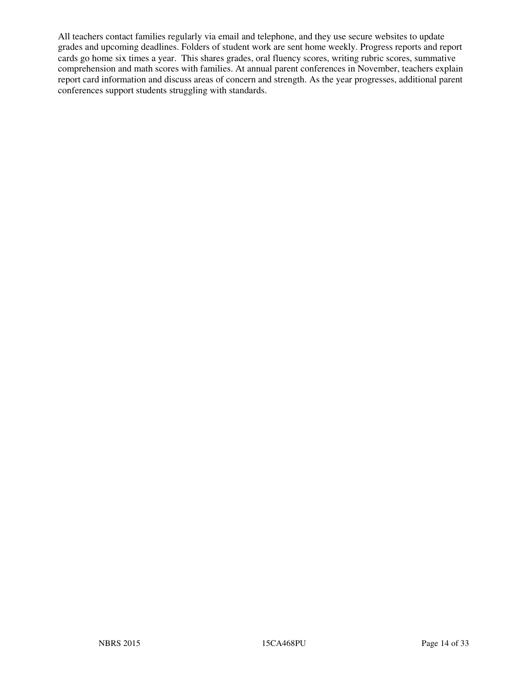All teachers contact families regularly via email and telephone, and they use secure websites to update grades and upcoming deadlines. Folders of student work are sent home weekly. Progress reports and report cards go home six times a year. This shares grades, oral fluency scores, writing rubric scores, summative comprehension and math scores with families. At annual parent conferences in November, teachers explain report card information and discuss areas of concern and strength. As the year progresses, additional parent conferences support students struggling with standards.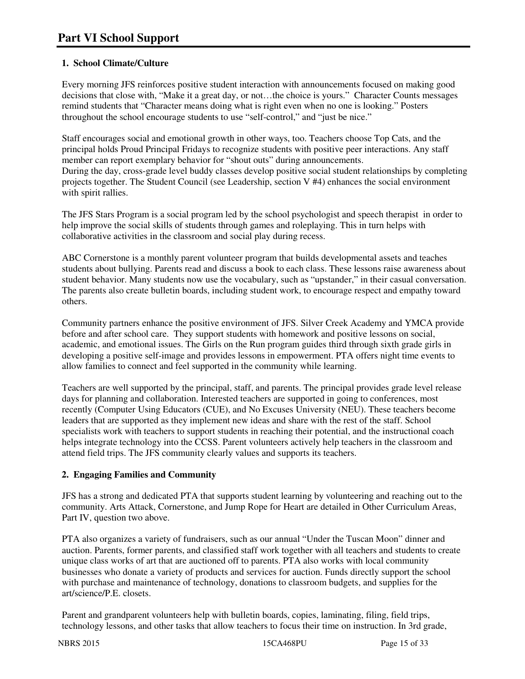# **1. School Climate/Culture**

Every morning JFS reinforces positive student interaction with announcements focused on making good decisions that close with, "Make it a great day, or not…the choice is yours." Character Counts messages remind students that "Character means doing what is right even when no one is looking." Posters throughout the school encourage students to use "self-control," and "just be nice."

Staff encourages social and emotional growth in other ways, too. Teachers choose Top Cats, and the principal holds Proud Principal Fridays to recognize students with positive peer interactions. Any staff member can report exemplary behavior for "shout outs" during announcements. During the day, cross-grade level buddy classes develop positive social student relationships by completing projects together. The Student Council (see Leadership, section V #4) enhances the social environment with spirit rallies.

The JFS Stars Program is a social program led by the school psychologist and speech therapist in order to help improve the social skills of students through games and roleplaying. This in turn helps with collaborative activities in the classroom and social play during recess.

ABC Cornerstone is a monthly parent volunteer program that builds developmental assets and teaches students about bullying. Parents read and discuss a book to each class. These lessons raise awareness about student behavior. Many students now use the vocabulary, such as "upstander," in their casual conversation. The parents also create bulletin boards, including student work, to encourage respect and empathy toward others.

Community partners enhance the positive environment of JFS. Silver Creek Academy and YMCA provide before and after school care. They support students with homework and positive lessons on social, academic, and emotional issues. The Girls on the Run program guides third through sixth grade girls in developing a positive self-image and provides lessons in empowerment. PTA offers night time events to allow families to connect and feel supported in the community while learning.

Teachers are well supported by the principal, staff, and parents. The principal provides grade level release days for planning and collaboration. Interested teachers are supported in going to conferences, most recently (Computer Using Educators (CUE), and No Excuses University (NEU). These teachers become leaders that are supported as they implement new ideas and share with the rest of the staff. School specialists work with teachers to support students in reaching their potential, and the instructional coach helps integrate technology into the CCSS. Parent volunteers actively help teachers in the classroom and attend field trips. The JFS community clearly values and supports its teachers.

## **2. Engaging Families and Community**

JFS has a strong and dedicated PTA that supports student learning by volunteering and reaching out to the community. Arts Attack, Cornerstone, and Jump Rope for Heart are detailed in Other Curriculum Areas, Part IV, question two above.

PTA also organizes a variety of fundraisers, such as our annual "Under the Tuscan Moon" dinner and auction. Parents, former parents, and classified staff work together with all teachers and students to create unique class works of art that are auctioned off to parents. PTA also works with local community businesses who donate a variety of products and services for auction. Funds directly support the school with purchase and maintenance of technology, donations to classroom budgets, and supplies for the art/science/P.E. closets.

Parent and grandparent volunteers help with bulletin boards, copies, laminating, filing, field trips, technology lessons, and other tasks that allow teachers to focus their time on instruction. In 3rd grade,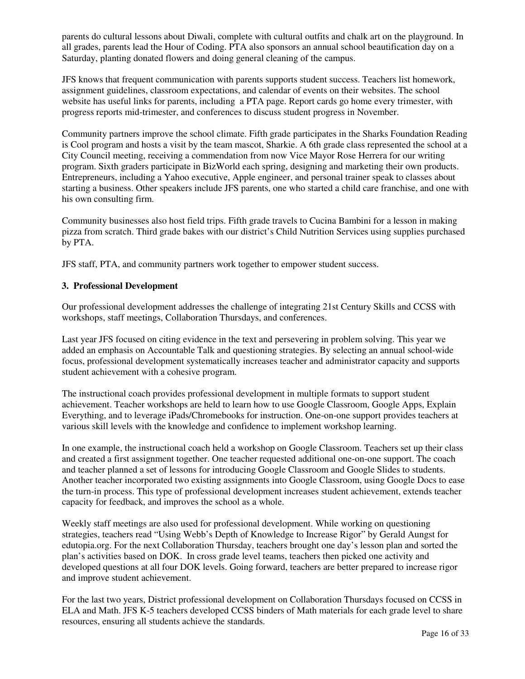parents do cultural lessons about Diwali, complete with cultural outfits and chalk art on the playground. In all grades, parents lead the Hour of Coding. PTA also sponsors an annual school beautification day on a Saturday, planting donated flowers and doing general cleaning of the campus.

JFS knows that frequent communication with parents supports student success. Teachers list homework, assignment guidelines, classroom expectations, and calendar of events on their websites. The school website has useful links for parents, including a PTA page. Report cards go home every trimester, with progress reports mid-trimester, and conferences to discuss student progress in November.

Community partners improve the school climate. Fifth grade participates in the Sharks Foundation Reading is Cool program and hosts a visit by the team mascot, Sharkie. A 6th grade class represented the school at a City Council meeting, receiving a commendation from now Vice Mayor Rose Herrera for our writing program. Sixth graders participate in BizWorld each spring, designing and marketing their own products. Entrepreneurs, including a Yahoo executive, Apple engineer, and personal trainer speak to classes about starting a business. Other speakers include JFS parents, one who started a child care franchise, and one with his own consulting firm.

Community businesses also host field trips. Fifth grade travels to Cucina Bambini for a lesson in making pizza from scratch. Third grade bakes with our district's Child Nutrition Services using supplies purchased by PTA.

JFS staff, PTA, and community partners work together to empower student success.

#### **3. Professional Development**

Our professional development addresses the challenge of integrating 21st Century Skills and CCSS with workshops, staff meetings, Collaboration Thursdays, and conferences.

Last year JFS focused on citing evidence in the text and persevering in problem solving. This year we added an emphasis on Accountable Talk and questioning strategies. By selecting an annual school-wide focus, professional development systematically increases teacher and administrator capacity and supports student achievement with a cohesive program.

The instructional coach provides professional development in multiple formats to support student achievement. Teacher workshops are held to learn how to use Google Classroom, Google Apps, Explain Everything, and to leverage iPads/Chromebooks for instruction. One-on-one support provides teachers at various skill levels with the knowledge and confidence to implement workshop learning.

In one example, the instructional coach held a workshop on Google Classroom. Teachers set up their class and created a first assignment together. One teacher requested additional one-on-one support. The coach and teacher planned a set of lessons for introducing Google Classroom and Google Slides to students. Another teacher incorporated two existing assignments into Google Classroom, using Google Docs to ease the turn-in process. This type of professional development increases student achievement, extends teacher capacity for feedback, and improves the school as a whole.

Weekly staff meetings are also used for professional development. While working on questioning strategies, teachers read "Using Webb's Depth of Knowledge to Increase Rigor" by Gerald Aungst for edutopia.org. For the next Collaboration Thursday, teachers brought one day's lesson plan and sorted the plan's activities based on DOK. In cross grade level teams, teachers then picked one activity and developed questions at all four DOK levels. Going forward, teachers are better prepared to increase rigor and improve student achievement.

For the last two years, District professional development on Collaboration Thursdays focused on CCSS in ELA and Math. JFS K-5 teachers developed CCSS binders of Math materials for each grade level to share resources, ensuring all students achieve the standards.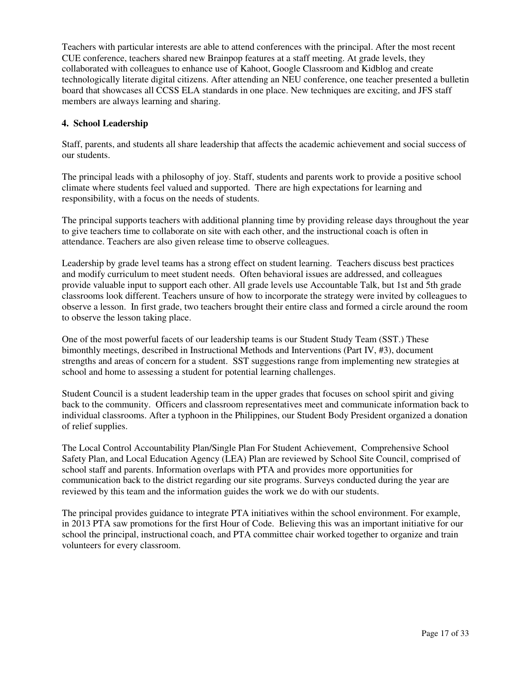Teachers with particular interests are able to attend conferences with the principal. After the most recent CUE conference, teachers shared new Brainpop features at a staff meeting. At grade levels, they collaborated with colleagues to enhance use of Kahoot, Google Classroom and Kidblog and create technologically literate digital citizens. After attending an NEU conference, one teacher presented a bulletin board that showcases all CCSS ELA standards in one place. New techniques are exciting, and JFS staff members are always learning and sharing.

#### **4. School Leadership**

Staff, parents, and students all share leadership that affects the academic achievement and social success of our students.

The principal leads with a philosophy of joy. Staff, students and parents work to provide a positive school climate where students feel valued and supported. There are high expectations for learning and responsibility, with a focus on the needs of students.

The principal supports teachers with additional planning time by providing release days throughout the year to give teachers time to collaborate on site with each other, and the instructional coach is often in attendance. Teachers are also given release time to observe colleagues.

Leadership by grade level teams has a strong effect on student learning. Teachers discuss best practices and modify curriculum to meet student needs. Often behavioral issues are addressed, and colleagues provide valuable input to support each other. All grade levels use Accountable Talk, but 1st and 5th grade classrooms look different. Teachers unsure of how to incorporate the strategy were invited by colleagues to observe a lesson. In first grade, two teachers brought their entire class and formed a circle around the room to observe the lesson taking place.

One of the most powerful facets of our leadership teams is our Student Study Team (SST.) These bimonthly meetings, described in Instructional Methods and Interventions (Part IV, #3), document strengths and areas of concern for a student. SST suggestions range from implementing new strategies at school and home to assessing a student for potential learning challenges.

Student Council is a student leadership team in the upper grades that focuses on school spirit and giving back to the community. Officers and classroom representatives meet and communicate information back to individual classrooms. After a typhoon in the Philippines, our Student Body President organized a donation of relief supplies.

The Local Control Accountability Plan/Single Plan For Student Achievement, Comprehensive School Safety Plan, and Local Education Agency (LEA) Plan are reviewed by School Site Council, comprised of school staff and parents. Information overlaps with PTA and provides more opportunities for communication back to the district regarding our site programs. Surveys conducted during the year are reviewed by this team and the information guides the work we do with our students.

The principal provides guidance to integrate PTA initiatives within the school environment. For example, in 2013 PTA saw promotions for the first Hour of Code. Believing this was an important initiative for our school the principal, instructional coach, and PTA committee chair worked together to organize and train volunteers for every classroom.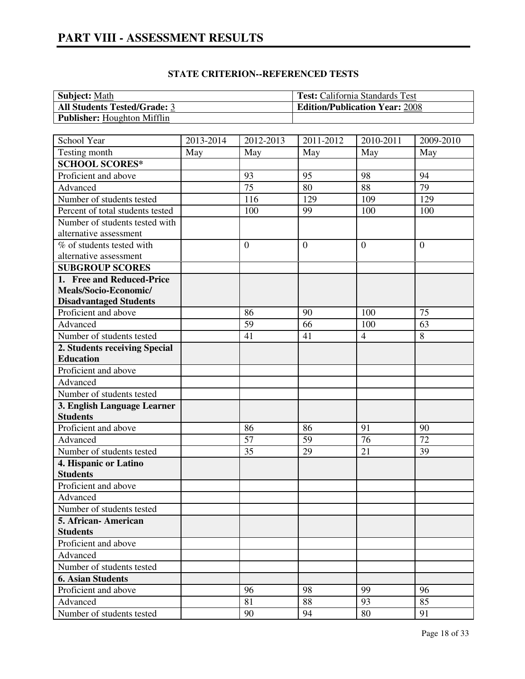| <b>Subject:</b> Math                | <b>Test:</b> California Standards Test |
|-------------------------------------|----------------------------------------|
| <b>All Students Tested/Grade: 3</b> | <b>Edition/Publication Year: 2008</b>  |
| <b>Publisher:</b> Houghton Mifflin  |                                        |

| School Year                              | 2013-2014 | $2012 - 2013$   | $2011 - 2012$  | 2010-2011      | 2009-2010      |
|------------------------------------------|-----------|-----------------|----------------|----------------|----------------|
| Testing month                            | May       | May             | May            | May            | May            |
| <b>SCHOOL SCORES*</b>                    |           |                 |                |                |                |
| Proficient and above                     |           | 93              | 95             | 98             | 94             |
| Advanced                                 |           | $\overline{75}$ | 80             | 88             | 79             |
| Number of students tested                |           | 116             | 129            | 109            | 129            |
| Percent of total students tested         |           | 100             | 99             | 100            | 100            |
| Number of students tested with           |           |                 |                |                |                |
| alternative assessment                   |           |                 |                |                |                |
| % of students tested with                |           | $\overline{0}$  | $\overline{0}$ | $\theta$       | $\overline{0}$ |
| alternative assessment                   |           |                 |                |                |                |
| <b>SUBGROUP SCORES</b>                   |           |                 |                |                |                |
| 1. Free and Reduced-Price                |           |                 |                |                |                |
| Meals/Socio-Economic/                    |           |                 |                |                |                |
| <b>Disadvantaged Students</b>            |           |                 |                |                |                |
| Proficient and above                     |           | 86              | 90             | 100            | 75             |
| Advanced                                 |           | 59              | 66             | 100            | 63             |
| Number of students tested                |           | 41              | 41             | $\overline{4}$ | 8              |
| 2. Students receiving Special            |           |                 |                |                |                |
| <b>Education</b>                         |           |                 |                |                |                |
| Proficient and above                     |           |                 |                |                |                |
| Advanced                                 |           |                 |                |                |                |
| Number of students tested                |           |                 |                |                |                |
| 3. English Language Learner              |           |                 |                |                |                |
| <b>Students</b>                          |           |                 |                |                |                |
| Proficient and above                     |           | 86<br>57        | 86             | 91<br>76       | 90<br>72       |
| Advanced                                 |           |                 | 59<br>29       | 21             |                |
| Number of students tested                |           | 35              |                |                | 39             |
| 4. Hispanic or Latino<br><b>Students</b> |           |                 |                |                |                |
| Proficient and above                     |           |                 |                |                |                |
| Advanced                                 |           |                 |                |                |                |
| Number of students tested                |           |                 |                |                |                |
| 5. African-American                      |           |                 |                |                |                |
| <b>Students</b>                          |           |                 |                |                |                |
| Proficient and above                     |           |                 |                |                |                |
| Advanced                                 |           |                 |                |                |                |
| Number of students tested                |           |                 |                |                |                |
| <b>6. Asian Students</b>                 |           |                 |                |                |                |
| Proficient and above                     |           | 96              | 98             | 99             | 96             |
| Advanced                                 |           | 81              | 88             | 93             | 85             |
| Number of students tested                |           | 90              | 94             | 80             | 91             |
|                                          |           |                 |                |                |                |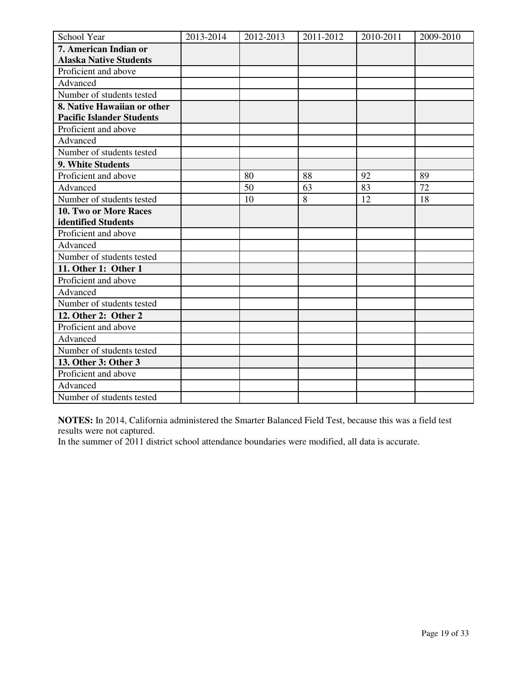| School Year                      | 2013-2014 | 2012-2013 | 2011-2012      | 2010-2011 | 2009-2010 |
|----------------------------------|-----------|-----------|----------------|-----------|-----------|
| 7. American Indian or            |           |           |                |           |           |
| <b>Alaska Native Students</b>    |           |           |                |           |           |
| Proficient and above             |           |           |                |           |           |
| Advanced                         |           |           |                |           |           |
| Number of students tested        |           |           |                |           |           |
| 8. Native Hawaiian or other      |           |           |                |           |           |
| <b>Pacific Islander Students</b> |           |           |                |           |           |
| Proficient and above             |           |           |                |           |           |
| Advanced                         |           |           |                |           |           |
| Number of students tested        |           |           |                |           |           |
| 9. White Students                |           |           |                |           |           |
| Proficient and above             |           | 80        | 88             | 92        | 89        |
| Advanced                         |           | 50        | 63             | 83        | 72        |
| Number of students tested        |           | 10        | $\overline{8}$ | 12        | 18        |
| 10. Two or More Races            |           |           |                |           |           |
| identified Students              |           |           |                |           |           |
| Proficient and above             |           |           |                |           |           |
| Advanced                         |           |           |                |           |           |
| Number of students tested        |           |           |                |           |           |
| 11. Other 1: Other 1             |           |           |                |           |           |
| Proficient and above             |           |           |                |           |           |
| Advanced                         |           |           |                |           |           |
| Number of students tested        |           |           |                |           |           |
| 12. Other 2: Other 2             |           |           |                |           |           |
| Proficient and above             |           |           |                |           |           |
| Advanced                         |           |           |                |           |           |
| Number of students tested        |           |           |                |           |           |
| 13. Other 3: Other 3             |           |           |                |           |           |
| Proficient and above             |           |           |                |           |           |
| Advanced                         |           |           |                |           |           |
| Number of students tested        |           |           |                |           |           |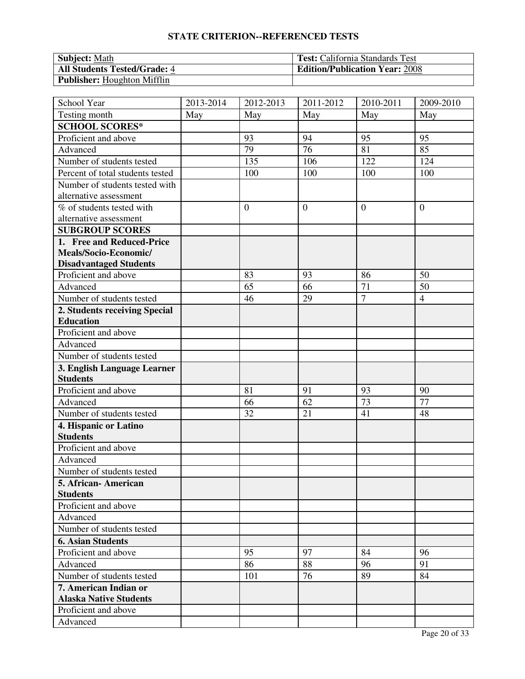| <b>Subject:</b> Math                | <b>Test:</b> California Standards Test |
|-------------------------------------|----------------------------------------|
| <b>All Students Tested/Grade: 4</b> | <b>Edition/Publication Year: 2008</b>  |
| <b>Publisher:</b> Houghton Mifflin  |                                        |

| School Year                      | 2013-2014 | 2012-2013      | 2011-2012      | 2010-2011      | 2009-2010      |
|----------------------------------|-----------|----------------|----------------|----------------|----------------|
| Testing month                    | May       | May            | May            | May            | May            |
| <b>SCHOOL SCORES*</b>            |           |                |                |                |                |
| Proficient and above             |           | 93             | 94             | 95             | 95             |
| Advanced                         |           | 79             | 76             | 81             | 85             |
| Number of students tested        |           | 135            | 106            | 122            | 124            |
| Percent of total students tested |           | 100            | 100            | 100            | 100            |
| Number of students tested with   |           |                |                |                |                |
| alternative assessment           |           |                |                |                |                |
| % of students tested with        |           | $\overline{0}$ | $\overline{0}$ | $\overline{0}$ | $\overline{0}$ |
| alternative assessment           |           |                |                |                |                |
| <b>SUBGROUP SCORES</b>           |           |                |                |                |                |
| 1. Free and Reduced-Price        |           |                |                |                |                |
| Meals/Socio-Economic/            |           |                |                |                |                |
| <b>Disadvantaged Students</b>    |           |                |                |                |                |
| Proficient and above             |           | 83             | 93             | 86             | 50             |
| Advanced                         |           | 65             | 66             | 71             | 50             |
| Number of students tested        |           | 46             | 29             | $\overline{7}$ | $\overline{4}$ |
| 2. Students receiving Special    |           |                |                |                |                |
| <b>Education</b>                 |           |                |                |                |                |
| Proficient and above             |           |                |                |                |                |
| Advanced                         |           |                |                |                |                |
| Number of students tested        |           |                |                |                |                |
| 3. English Language Learner      |           |                |                |                |                |
| <b>Students</b>                  |           |                |                |                |                |
| Proficient and above             |           | 81             | 91             | 93             | 90             |
| Advanced                         |           | 66             | 62             | 73             | 77             |
| Number of students tested        |           | 32             | 21             | 41             | 48             |
| 4. Hispanic or Latino            |           |                |                |                |                |
| <b>Students</b>                  |           |                |                |                |                |
| Proficient and above             |           |                |                |                |                |
| Advanced                         |           |                |                |                |                |
| Number of students tested        |           |                |                |                |                |
| 5. African-American              |           |                |                |                |                |
| <b>Students</b>                  |           |                |                |                |                |
| Proficient and above             |           |                |                |                |                |
| Advanced                         |           |                |                |                |                |
| Number of students tested        |           |                |                |                |                |
| <b>6. Asian Students</b>         |           |                |                |                |                |
| Proficient and above             |           | 95             | 97             | 84             | 96             |
| Advanced                         |           | 86             | 88             | 96             | 91             |
| Number of students tested        |           | 101            | 76             | 89             | 84             |
| 7. American Indian or            |           |                |                |                |                |
| <b>Alaska Native Students</b>    |           |                |                |                |                |
| Proficient and above             |           |                |                |                |                |
| Advanced                         |           |                |                |                |                |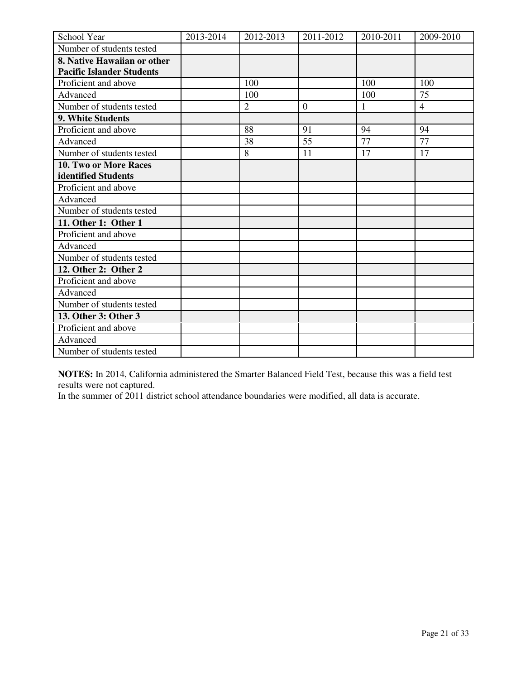| School Year                      | 2013-2014 | 2012-2013      | 2011-2012      | 2010-2011 | 2009-2010      |
|----------------------------------|-----------|----------------|----------------|-----------|----------------|
| Number of students tested        |           |                |                |           |                |
| 8. Native Hawaiian or other      |           |                |                |           |                |
| <b>Pacific Islander Students</b> |           |                |                |           |                |
| Proficient and above             |           | 100            |                | 100       | 100            |
| Advanced                         |           | 100            |                | 100       | 75             |
| Number of students tested        |           | $\overline{2}$ | $\overline{0}$ | 1         | $\overline{4}$ |
| 9. White Students                |           |                |                |           |                |
| Proficient and above             |           | 88             | 91             | 94        | 94             |
| Advanced                         |           | 38             | 55             | 77        | 77             |
| Number of students tested        |           | 8              | 11             | 17        | 17             |
| 10. Two or More Races            |           |                |                |           |                |
| identified Students              |           |                |                |           |                |
| Proficient and above             |           |                |                |           |                |
| Advanced                         |           |                |                |           |                |
| Number of students tested        |           |                |                |           |                |
| 11. Other 1: Other 1             |           |                |                |           |                |
| Proficient and above             |           |                |                |           |                |
| Advanced                         |           |                |                |           |                |
| Number of students tested        |           |                |                |           |                |
| 12. Other 2: Other 2             |           |                |                |           |                |
| Proficient and above             |           |                |                |           |                |
| Advanced                         |           |                |                |           |                |
| Number of students tested        |           |                |                |           |                |
| 13. Other 3: Other 3             |           |                |                |           |                |
| Proficient and above             |           |                |                |           |                |
| Advanced                         |           |                |                |           |                |
| Number of students tested        |           |                |                |           |                |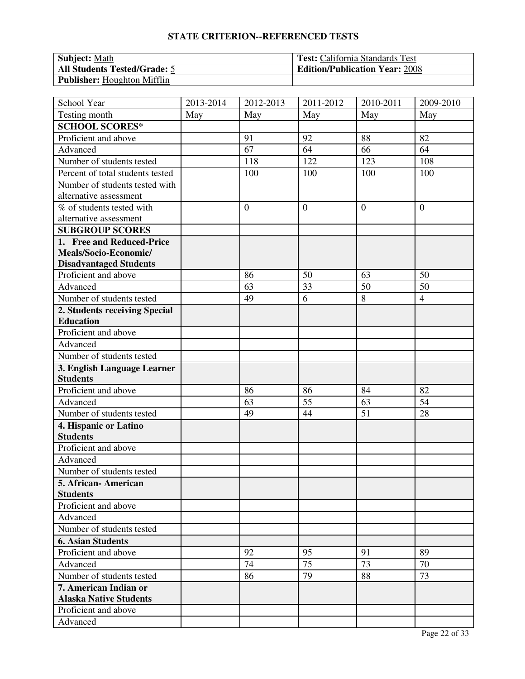| <b>Subject:</b> Math                | <b>Test:</b> California Standards Test |
|-------------------------------------|----------------------------------------|
| <b>All Students Tested/Grade: 5</b> | <b>Edition/Publication Year: 2008</b>  |
| <b>Publisher:</b> Houghton Mifflin  |                                        |

| School Year                      | 2013-2014 | 2012-2013        | 2011-2012      | 2010-2011      | 2009-2010      |
|----------------------------------|-----------|------------------|----------------|----------------|----------------|
| Testing month                    | May       | May              | May            | May            | May            |
| <b>SCHOOL SCORES*</b>            |           |                  |                |                |                |
| Proficient and above             |           | 91               | 92             | 88             | 82             |
| Advanced                         |           | 67               | 64             | 66             | 64             |
| Number of students tested        |           | 118              | 122            | 123            | 108            |
| Percent of total students tested |           | 100              | 100            | 100            | 100            |
| Number of students tested with   |           |                  |                |                |                |
| alternative assessment           |           |                  |                |                |                |
| % of students tested with        |           | $\boldsymbol{0}$ | $\overline{0}$ | $\overline{0}$ | $\overline{0}$ |
| alternative assessment           |           |                  |                |                |                |
| <b>SUBGROUP SCORES</b>           |           |                  |                |                |                |
| 1. Free and Reduced-Price        |           |                  |                |                |                |
| Meals/Socio-Economic/            |           |                  |                |                |                |
| <b>Disadvantaged Students</b>    |           |                  |                |                |                |
| Proficient and above             |           | 86               | 50             | 63             | 50             |
| Advanced                         |           | 63               | 33             | 50             | 50             |
| Number of students tested        |           | 49               | 6              | 8              | $\overline{4}$ |
| 2. Students receiving Special    |           |                  |                |                |                |
| <b>Education</b>                 |           |                  |                |                |                |
| Proficient and above             |           |                  |                |                |                |
| Advanced                         |           |                  |                |                |                |
| Number of students tested        |           |                  |                |                |                |
| 3. English Language Learner      |           |                  |                |                |                |
| <b>Students</b>                  |           |                  |                |                |                |
| Proficient and above             |           | 86               | 86             | 84             | 82             |
| Advanced                         |           | 63               | 55             | 63             | 54             |
| Number of students tested        |           | 49               | 44             | 51             | 28             |
| 4. Hispanic or Latino            |           |                  |                |                |                |
| <b>Students</b>                  |           |                  |                |                |                |
| Proficient and above             |           |                  |                |                |                |
| Advanced                         |           |                  |                |                |                |
| Number of students tested        |           |                  |                |                |                |
| 5. African-American              |           |                  |                |                |                |
| <b>Students</b>                  |           |                  |                |                |                |
| Proficient and above             |           |                  |                |                |                |
| Advanced                         |           |                  |                |                |                |
| Number of students tested        |           |                  |                |                |                |
| <b>6. Asian Students</b>         |           |                  |                |                |                |
| Proficient and above             |           | 92               | 95             | 91             | 89             |
| Advanced                         |           | 74               | 75             | 73             | 70             |
| Number of students tested        |           | 86               | 79             | 88             | 73             |
| 7. American Indian or            |           |                  |                |                |                |
| <b>Alaska Native Students</b>    |           |                  |                |                |                |
| Proficient and above             |           |                  |                |                |                |
| Advanced                         |           |                  |                |                |                |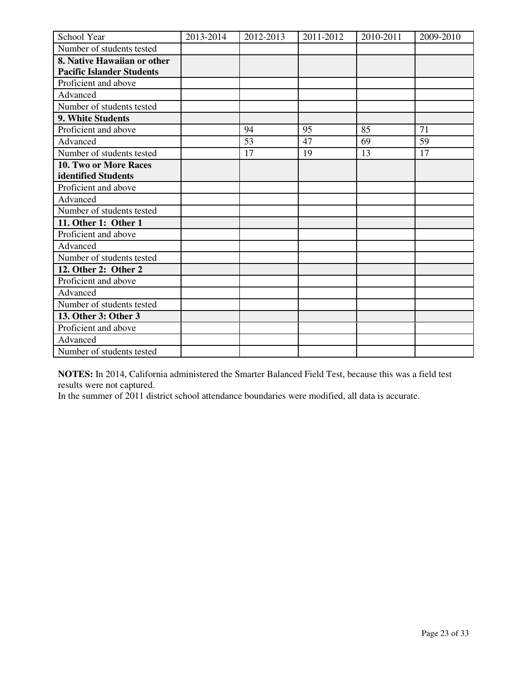| School Year                      | 2013-2014 | 2012-2013 | 2011-2012 | 2010-2011 | 2009-2010 |
|----------------------------------|-----------|-----------|-----------|-----------|-----------|
| Number of students tested        |           |           |           |           |           |
| 8. Native Hawaiian or other      |           |           |           |           |           |
| <b>Pacific Islander Students</b> |           |           |           |           |           |
| Proficient and above             |           |           |           |           |           |
| Advanced                         |           |           |           |           |           |
| Number of students tested        |           |           |           |           |           |
| 9. White Students                |           |           |           |           |           |
| Proficient and above             |           | 94        | 95        | 85        | 71        |
| Advanced                         |           | 53        | 47        | 69        | 59        |
| Number of students tested        |           | 17        | 19        | 13        | 17        |
| 10. Two or More Races            |           |           |           |           |           |
| identified Students              |           |           |           |           |           |
| Proficient and above             |           |           |           |           |           |
| Advanced                         |           |           |           |           |           |
| Number of students tested        |           |           |           |           |           |
| 11. Other 1: Other 1             |           |           |           |           |           |
| Proficient and above             |           |           |           |           |           |
| Advanced                         |           |           |           |           |           |
| Number of students tested        |           |           |           |           |           |
| 12. Other 2: Other 2             |           |           |           |           |           |
| Proficient and above             |           |           |           |           |           |
| Advanced                         |           |           |           |           |           |
| Number of students tested        |           |           |           |           |           |
| 13. Other 3: Other 3             |           |           |           |           |           |
| Proficient and above             |           |           |           |           |           |
| Advanced                         |           |           |           |           |           |
| Number of students tested        |           |           |           |           |           |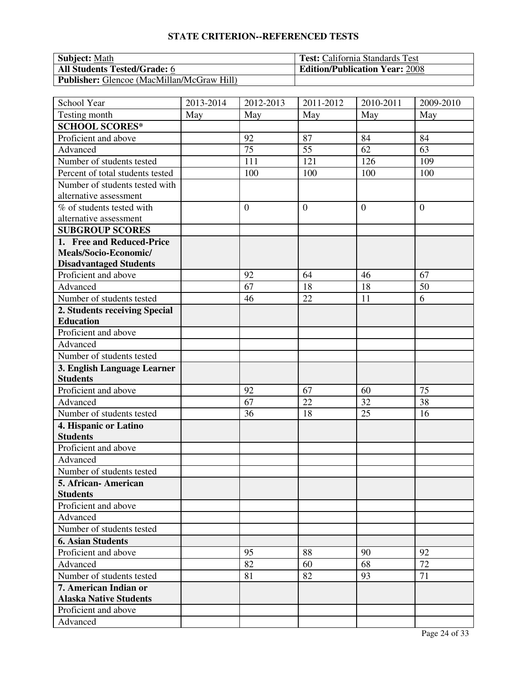| <b>Subject:</b> Math                              | <b>Test:</b> California Standards Test |
|---------------------------------------------------|----------------------------------------|
| <b>All Students Tested/Grade: 6</b>               | <b>Edition/Publication Year: 2008</b>  |
| <b>Publisher:</b> Glencoe (MacMillan/McGraw Hill) |                                        |

| School Year                      | 2013-2014 | 2012-2013    | 2011-2012      | 2010-2011        | 2009-2010      |
|----------------------------------|-----------|--------------|----------------|------------------|----------------|
| Testing month                    | May       | May          | May            | May              | May            |
| <b>SCHOOL SCORES*</b>            |           |              |                |                  |                |
| Proficient and above             |           | 92           | 87             | 84               | 84             |
| Advanced                         |           | 75           | 55             | 62               | 63             |
| Number of students tested        |           | 111          | 121            | 126              | 109            |
| Percent of total students tested |           | 100          | 100            | 100              | 100            |
| Number of students tested with   |           |              |                |                  |                |
| alternative assessment           |           |              |                |                  |                |
| % of students tested with        |           | $\mathbf{0}$ | $\overline{0}$ | $\boldsymbol{0}$ | $\overline{0}$ |
| alternative assessment           |           |              |                |                  |                |
| <b>SUBGROUP SCORES</b>           |           |              |                |                  |                |
| 1. Free and Reduced-Price        |           |              |                |                  |                |
| Meals/Socio-Economic/            |           |              |                |                  |                |
| <b>Disadvantaged Students</b>    |           |              |                |                  |                |
| Proficient and above             |           | 92           | 64             | 46               | 67             |
| Advanced                         |           | 67           | 18             | 18               | 50             |
| Number of students tested        |           | 46           | 22             | 11               | 6              |
| 2. Students receiving Special    |           |              |                |                  |                |
| <b>Education</b>                 |           |              |                |                  |                |
| Proficient and above             |           |              |                |                  |                |
| Advanced                         |           |              |                |                  |                |
| Number of students tested        |           |              |                |                  |                |
| 3. English Language Learner      |           |              |                |                  |                |
| <b>Students</b>                  |           |              |                |                  |                |
| Proficient and above             |           | 92           | 67             | 60               | 75             |
| Advanced                         |           | 67           | 22             | 32               | 38             |
| Number of students tested        |           | 36           | 18             | 25               | 16             |
| 4. Hispanic or Latino            |           |              |                |                  |                |
| <b>Students</b>                  |           |              |                |                  |                |
| Proficient and above             |           |              |                |                  |                |
| Advanced                         |           |              |                |                  |                |
| Number of students tested        |           |              |                |                  |                |
| 5. African-American              |           |              |                |                  |                |
| <b>Students</b>                  |           |              |                |                  |                |
| Proficient and above             |           |              |                |                  |                |
| Advanced                         |           |              |                |                  |                |
| Number of students tested        |           |              |                |                  |                |
| <b>6. Asian Students</b>         |           |              |                |                  |                |
| Proficient and above             |           | 95           | 88             | 90               | 92             |
| Advanced                         |           | 82           | 60             | 68               | 72             |
| Number of students tested        |           | 81           | 82             | 93               | 71             |
| 7. American Indian or            |           |              |                |                  |                |
| <b>Alaska Native Students</b>    |           |              |                |                  |                |
| Proficient and above             |           |              |                |                  |                |
| Advanced                         |           |              |                |                  |                |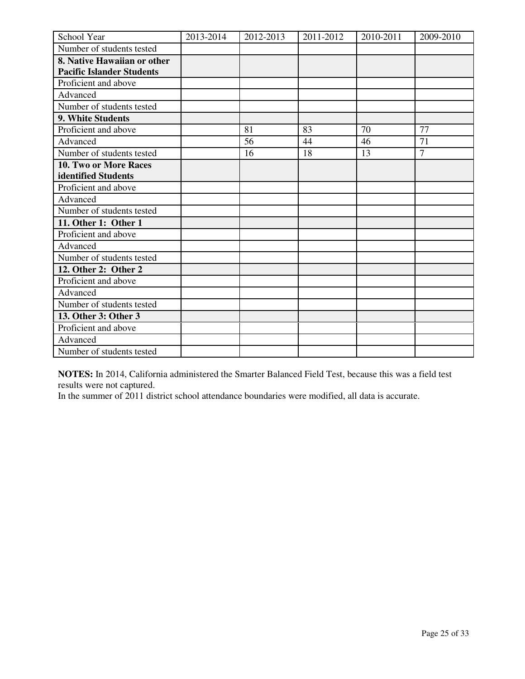| School Year                      | 2013-2014 | 2012-2013 | 2011-2012 | 2010-2011 | 2009-2010      |
|----------------------------------|-----------|-----------|-----------|-----------|----------------|
| Number of students tested        |           |           |           |           |                |
| 8. Native Hawaiian or other      |           |           |           |           |                |
| <b>Pacific Islander Students</b> |           |           |           |           |                |
| Proficient and above             |           |           |           |           |                |
| Advanced                         |           |           |           |           |                |
| Number of students tested        |           |           |           |           |                |
| 9. White Students                |           |           |           |           |                |
| Proficient and above             |           | 81        | 83        | 70        | 77             |
| Advanced                         |           | 56        | 44        | 46        | 71             |
| Number of students tested        |           | 16        | 18        | 13        | $\overline{7}$ |
| 10. Two or More Races            |           |           |           |           |                |
| identified Students              |           |           |           |           |                |
| Proficient and above             |           |           |           |           |                |
| Advanced                         |           |           |           |           |                |
| Number of students tested        |           |           |           |           |                |
| 11. Other 1: Other 1             |           |           |           |           |                |
| Proficient and above             |           |           |           |           |                |
| Advanced                         |           |           |           |           |                |
| Number of students tested        |           |           |           |           |                |
| 12. Other 2: Other 2             |           |           |           |           |                |
| Proficient and above             |           |           |           |           |                |
| Advanced                         |           |           |           |           |                |
| Number of students tested        |           |           |           |           |                |
| 13. Other 3: Other 3             |           |           |           |           |                |
| Proficient and above             |           |           |           |           |                |
| Advanced                         |           |           |           |           |                |
| Number of students tested        |           |           |           |           |                |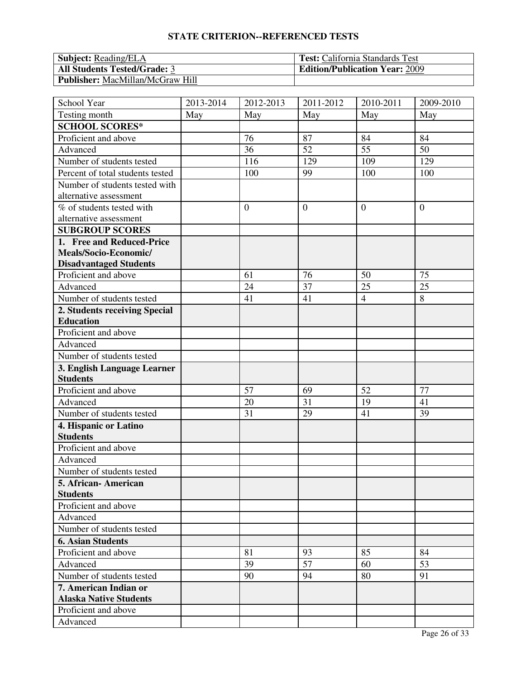| <b>Subject:</b> Reading/ELA             | <b>Test:</b> California Standards Test |
|-----------------------------------------|----------------------------------------|
| <b>All Students Tested/Grade: 3</b>     | <b>Edition/Publication Year: 2009</b>  |
| <b>Publisher:</b> MacMillan/McGraw Hill |                                        |

| School Year                      | 2013-2014 | 2012-2013        | 2011-2012      | 2010-2011      | 2009-2010      |
|----------------------------------|-----------|------------------|----------------|----------------|----------------|
| Testing month                    | May       | May              | May            | May            | May            |
| <b>SCHOOL SCORES*</b>            |           |                  |                |                |                |
| Proficient and above             |           | 76               | 87             | 84             | 84             |
| Advanced                         |           | 36               | 52             | 55             | 50             |
| Number of students tested        |           | 116              | 129            | 109            | 129            |
| Percent of total students tested |           | 100              | 99             | 100            | 100            |
| Number of students tested with   |           |                  |                |                |                |
| alternative assessment           |           |                  |                |                |                |
| % of students tested with        |           | $\boldsymbol{0}$ | $\overline{0}$ | $\overline{0}$ | $\overline{0}$ |
| alternative assessment           |           |                  |                |                |                |
| <b>SUBGROUP SCORES</b>           |           |                  |                |                |                |
| 1. Free and Reduced-Price        |           |                  |                |                |                |
| Meals/Socio-Economic/            |           |                  |                |                |                |
| <b>Disadvantaged Students</b>    |           |                  |                |                |                |
| Proficient and above             |           | 61               | 76             | 50             | 75             |
| Advanced                         |           | 24               | 37             | 25             | 25             |
| Number of students tested        |           | 41               | 41             | $\overline{4}$ | 8              |
| 2. Students receiving Special    |           |                  |                |                |                |
| <b>Education</b>                 |           |                  |                |                |                |
| Proficient and above             |           |                  |                |                |                |
| Advanced                         |           |                  |                |                |                |
| Number of students tested        |           |                  |                |                |                |
| 3. English Language Learner      |           |                  |                |                |                |
| <b>Students</b>                  |           |                  |                |                |                |
| Proficient and above             |           | 57               | 69             | 52             | 77             |
| Advanced                         |           | 20               | 31             | 19             | 41             |
| Number of students tested        |           | 31               | 29             | 41             | 39             |
| 4. Hispanic or Latino            |           |                  |                |                |                |
| <b>Students</b>                  |           |                  |                |                |                |
| Proficient and above             |           |                  |                |                |                |
| Advanced                         |           |                  |                |                |                |
| Number of students tested        |           |                  |                |                |                |
| 5. African-American              |           |                  |                |                |                |
| <b>Students</b>                  |           |                  |                |                |                |
| Proficient and above             |           |                  |                |                |                |
| Advanced                         |           |                  |                |                |                |
| Number of students tested        |           |                  |                |                |                |
| <b>6. Asian Students</b>         |           |                  |                |                |                |
| Proficient and above             |           | 81               | 93             | 85             | 84             |
| Advanced                         |           | 39               | 57             | 60             | 53             |
| Number of students tested        |           | 90               | 94             | 80             | 91             |
| 7. American Indian or            |           |                  |                |                |                |
| <b>Alaska Native Students</b>    |           |                  |                |                |                |
| Proficient and above             |           |                  |                |                |                |
| Advanced                         |           |                  |                |                |                |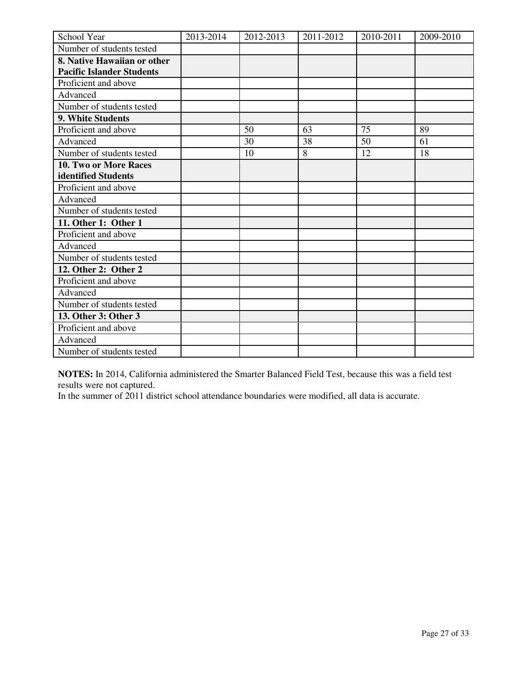| School Year                      | 2013-2014 | 2012-2013 | 2011-2012 | 2010-2011 | 2009-2010 |
|----------------------------------|-----------|-----------|-----------|-----------|-----------|
| Number of students tested        |           |           |           |           |           |
| 8. Native Hawaiian or other      |           |           |           |           |           |
| <b>Pacific Islander Students</b> |           |           |           |           |           |
| Proficient and above             |           |           |           |           |           |
| Advanced                         |           |           |           |           |           |
| Number of students tested        |           |           |           |           |           |
| 9. White Students                |           |           |           |           |           |
| Proficient and above             |           | 50        | 63        | 75        | 89        |
| Advanced                         |           | 30        | 38        | 50        | 61        |
| Number of students tested        |           | 10        | 8         | 12        | 18        |
| 10. Two or More Races            |           |           |           |           |           |
| identified Students              |           |           |           |           |           |
| Proficient and above             |           |           |           |           |           |
| Advanced                         |           |           |           |           |           |
| Number of students tested        |           |           |           |           |           |
| 11. Other 1: Other 1             |           |           |           |           |           |
| Proficient and above             |           |           |           |           |           |
| Advanced                         |           |           |           |           |           |
| Number of students tested        |           |           |           |           |           |
| 12. Other 2: Other 2             |           |           |           |           |           |
| Proficient and above             |           |           |           |           |           |
| Advanced                         |           |           |           |           |           |
| Number of students tested        |           |           |           |           |           |
| 13. Other 3: Other 3             |           |           |           |           |           |
| Proficient and above             |           |           |           |           |           |
| Advanced                         |           |           |           |           |           |
| Number of students tested        |           |           |           |           |           |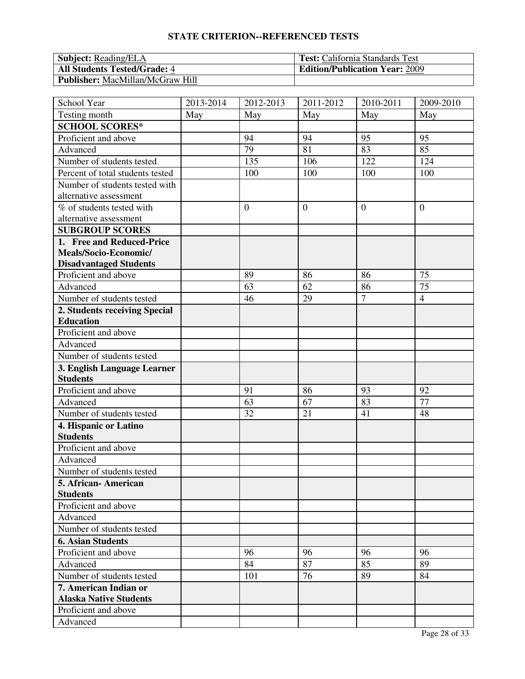| <b>Subject: Reading/ELA</b>             | <b>Test:</b> California Standards Test |
|-----------------------------------------|----------------------------------------|
| <b>All Students Tested/Grade: 4</b>     | <b>Edition/Publication Year: 2009</b>  |
| <b>Publisher:</b> MacMillan/McGraw Hill |                                        |

| School Year                      | 2013-2014 | 2012-2013      | 2011-2012      | 2010-2011      | 2009-2010      |
|----------------------------------|-----------|----------------|----------------|----------------|----------------|
| Testing month                    | May       | May            | May            | May            | May            |
| <b>SCHOOL SCORES*</b>            |           |                |                |                |                |
| Proficient and above             |           | 94             | 94             | 95             | 95             |
| Advanced                         |           | 79             | 81             | 83             | 85             |
| Number of students tested        |           | 135            | 106            | 122            | 124            |
| Percent of total students tested |           | 100            | 100            | 100            | 100            |
| Number of students tested with   |           |                |                |                |                |
| alternative assessment           |           |                |                |                |                |
| % of students tested with        |           | $\overline{0}$ | $\overline{0}$ | $\overline{0}$ | $\overline{0}$ |
| alternative assessment           |           |                |                |                |                |
| <b>SUBGROUP SCORES</b>           |           |                |                |                |                |
| 1. Free and Reduced-Price        |           |                |                |                |                |
| Meals/Socio-Economic/            |           |                |                |                |                |
| <b>Disadvantaged Students</b>    |           |                |                |                |                |
| Proficient and above             |           | 89             | 86             | 86             | 75             |
| Advanced                         |           | 63             | 62             | 86             | 75             |
| Number of students tested        |           | 46             | 29             | $\overline{7}$ | $\overline{4}$ |
| 2. Students receiving Special    |           |                |                |                |                |
| <b>Education</b>                 |           |                |                |                |                |
| Proficient and above             |           |                |                |                |                |
| Advanced                         |           |                |                |                |                |
| Number of students tested        |           |                |                |                |                |
| 3. English Language Learner      |           |                |                |                |                |
| <b>Students</b>                  |           |                |                |                |                |
| Proficient and above             |           | 91             | 86             | 93             | 92             |
| Advanced                         |           | 63             | 67             | 83             | 77             |
| Number of students tested        |           | 32             | 21             | 41             | 48             |
| 4. Hispanic or Latino            |           |                |                |                |                |
| <b>Students</b>                  |           |                |                |                |                |
| Proficient and above             |           |                |                |                |                |
| Advanced                         |           |                |                |                |                |
| Number of students tested        |           |                |                |                |                |
| 5. African-American              |           |                |                |                |                |
| <b>Students</b>                  |           |                |                |                |                |
| Proficient and above             |           |                |                |                |                |
| Advanced                         |           |                |                |                |                |
| Number of students tested        |           |                |                |                |                |
| <b>6. Asian Students</b>         |           |                |                |                |                |
| Proficient and above             |           | 96             | 96             | 96             | 96             |
| Advanced                         |           | 84             | 87             | 85             | 89             |
| Number of students tested        |           | 101            | 76             | 89             | 84             |
| 7. American Indian or            |           |                |                |                |                |
| <b>Alaska Native Students</b>    |           |                |                |                |                |
| Proficient and above             |           |                |                |                |                |
| Advanced                         |           |                |                |                |                |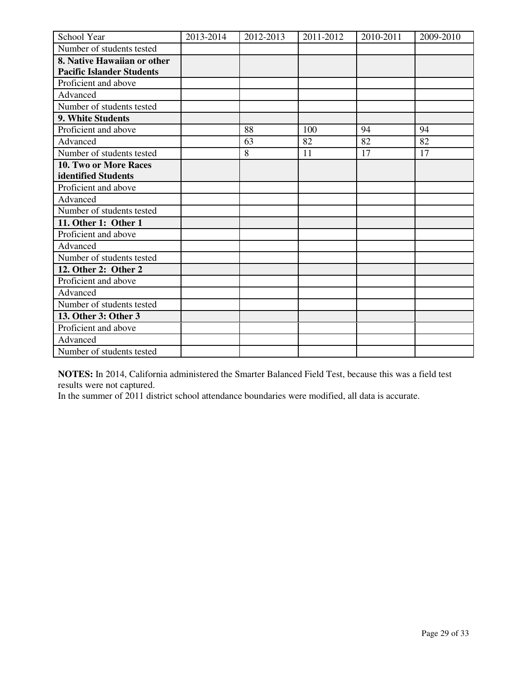| School Year                      | 2013-2014 | 2012-2013 | 2011-2012 | 2010-2011 | 2009-2010 |
|----------------------------------|-----------|-----------|-----------|-----------|-----------|
| Number of students tested        |           |           |           |           |           |
| 8. Native Hawaiian or other      |           |           |           |           |           |
| <b>Pacific Islander Students</b> |           |           |           |           |           |
| Proficient and above             |           |           |           |           |           |
| Advanced                         |           |           |           |           |           |
| Number of students tested        |           |           |           |           |           |
| 9. White Students                |           |           |           |           |           |
| Proficient and above             |           | 88        | 100       | 94        | 94        |
| Advanced                         |           | 63        | 82        | 82        | 82        |
| Number of students tested        |           | 8         | 11        | 17        | 17        |
| 10. Two or More Races            |           |           |           |           |           |
| identified Students              |           |           |           |           |           |
| Proficient and above             |           |           |           |           |           |
| Advanced                         |           |           |           |           |           |
| Number of students tested        |           |           |           |           |           |
| 11. Other 1: Other 1             |           |           |           |           |           |
| Proficient and above             |           |           |           |           |           |
| Advanced                         |           |           |           |           |           |
| Number of students tested        |           |           |           |           |           |
| 12. Other 2: Other 2             |           |           |           |           |           |
| Proficient and above             |           |           |           |           |           |
| Advanced                         |           |           |           |           |           |
| Number of students tested        |           |           |           |           |           |
| 13. Other 3: Other 3             |           |           |           |           |           |
| Proficient and above             |           |           |           |           |           |
| Advanced                         |           |           |           |           |           |
| Number of students tested        |           |           |           |           |           |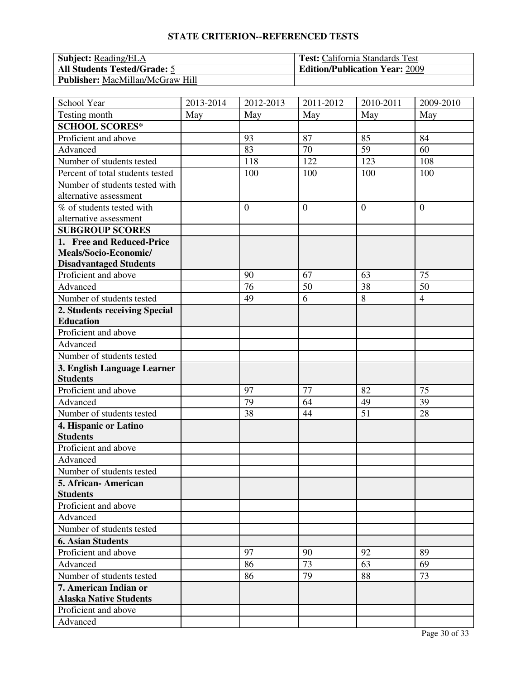| <b>Subject: Reading/ELA</b>             | <b>Test:</b> California Standards Test |
|-----------------------------------------|----------------------------------------|
| <b>All Students Tested/Grade: 5</b>     | <b>Edition/Publication Year: 2009</b>  |
| <b>Publisher:</b> MacMillan/McGraw Hill |                                        |

| School Year                      | 2013-2014 | 2012-2013      | 2011-2012      | 2010-2011      | 2009-2010      |
|----------------------------------|-----------|----------------|----------------|----------------|----------------|
| Testing month                    | May       | May            | May            | May            | May            |
| <b>SCHOOL SCORES*</b>            |           |                |                |                |                |
| Proficient and above             |           | 93             | 87             | 85             | 84             |
| Advanced                         |           | 83             | 70             | 59             | 60             |
| Number of students tested        |           | 118            | 122            | 123            | 108            |
| Percent of total students tested |           | 100            | 100            | 100            | 100            |
| Number of students tested with   |           |                |                |                |                |
| alternative assessment           |           |                |                |                |                |
| % of students tested with        |           | $\overline{0}$ | $\overline{0}$ | $\overline{0}$ | $\overline{0}$ |
| alternative assessment           |           |                |                |                |                |
| <b>SUBGROUP SCORES</b>           |           |                |                |                |                |
| 1. Free and Reduced-Price        |           |                |                |                |                |
| Meals/Socio-Economic/            |           |                |                |                |                |
| <b>Disadvantaged Students</b>    |           |                |                |                |                |
| Proficient and above             |           | 90             | 67             | 63             | 75             |
| Advanced                         |           | 76             | 50             | 38             | 50             |
| Number of students tested        |           | 49             | 6              | 8              | $\overline{4}$ |
| 2. Students receiving Special    |           |                |                |                |                |
| <b>Education</b>                 |           |                |                |                |                |
| Proficient and above             |           |                |                |                |                |
| Advanced                         |           |                |                |                |                |
| Number of students tested        |           |                |                |                |                |
| 3. English Language Learner      |           |                |                |                |                |
| <b>Students</b>                  |           |                |                |                |                |
| Proficient and above             |           | 97             | 77             | 82             | 75             |
| Advanced                         |           | 79             | 64             | 49             | 39             |
| Number of students tested        |           | 38             | 44             | 51             | 28             |
| 4. Hispanic or Latino            |           |                |                |                |                |
| <b>Students</b>                  |           |                |                |                |                |
| Proficient and above             |           |                |                |                |                |
| Advanced                         |           |                |                |                |                |
| Number of students tested        |           |                |                |                |                |
| 5. African-American              |           |                |                |                |                |
| <b>Students</b>                  |           |                |                |                |                |
| Proficient and above             |           |                |                |                |                |
| Advanced                         |           |                |                |                |                |
| Number of students tested        |           |                |                |                |                |
| <b>6. Asian Students</b>         |           |                |                |                |                |
| Proficient and above             |           | 97             | 90             | 92             | 89             |
| Advanced                         |           | 86             | 73             | 63             | 69             |
| Number of students tested        |           | 86             | 79             | 88             | 73             |
| 7. American Indian or            |           |                |                |                |                |
| <b>Alaska Native Students</b>    |           |                |                |                |                |
| Proficient and above             |           |                |                |                |                |
| Advanced                         |           |                |                |                |                |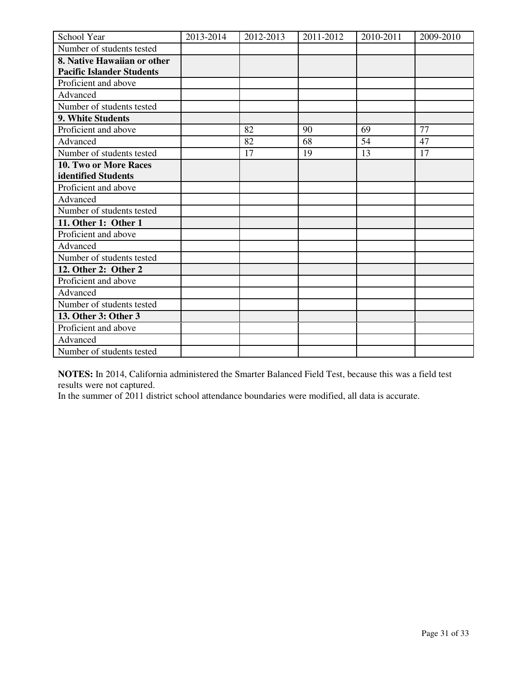| School Year                      | 2013-2014 | 2012-2013 | 2011-2012 | 2010-2011 | 2009-2010 |
|----------------------------------|-----------|-----------|-----------|-----------|-----------|
| Number of students tested        |           |           |           |           |           |
| 8. Native Hawaiian or other      |           |           |           |           |           |
| <b>Pacific Islander Students</b> |           |           |           |           |           |
| Proficient and above             |           |           |           |           |           |
| Advanced                         |           |           |           |           |           |
| Number of students tested        |           |           |           |           |           |
| 9. White Students                |           |           |           |           |           |
| Proficient and above             |           | 82        | 90        | 69        | 77        |
| Advanced                         |           | 82        | 68        | 54        | 47        |
| Number of students tested        |           | 17        | 19        | 13        | 17        |
| 10. Two or More Races            |           |           |           |           |           |
| identified Students              |           |           |           |           |           |
| Proficient and above             |           |           |           |           |           |
| Advanced                         |           |           |           |           |           |
| Number of students tested        |           |           |           |           |           |
| 11. Other 1: Other 1             |           |           |           |           |           |
| Proficient and above             |           |           |           |           |           |
| Advanced                         |           |           |           |           |           |
| Number of students tested        |           |           |           |           |           |
| 12. Other 2: Other 2             |           |           |           |           |           |
| Proficient and above             |           |           |           |           |           |
| Advanced                         |           |           |           |           |           |
| Number of students tested        |           |           |           |           |           |
| 13. Other 3: Other 3             |           |           |           |           |           |
| Proficient and above             |           |           |           |           |           |
| Advanced                         |           |           |           |           |           |
| Number of students tested        |           |           |           |           |           |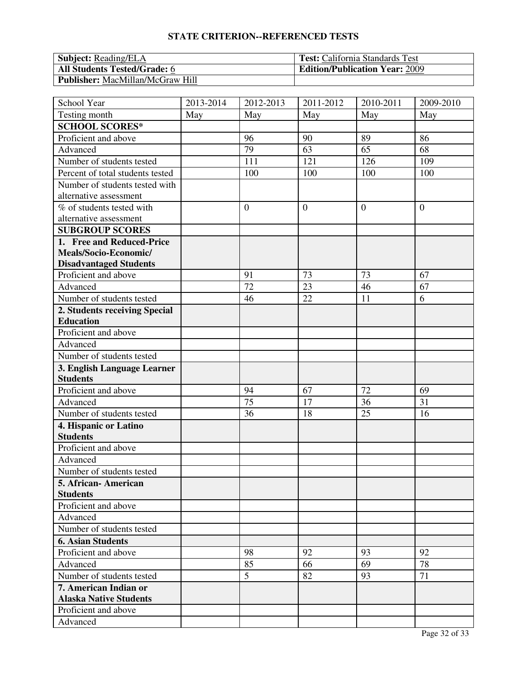| <b>Subject:</b> Reading/ELA             | <b>Test:</b> California Standards Test |
|-----------------------------------------|----------------------------------------|
| <b>All Students Tested/Grade: 6</b>     | <b>Edition/Publication Year: 2009</b>  |
| <b>Publisher:</b> MacMillan/McGraw Hill |                                        |

| School Year                      | 2013-2014 | 2012-2013      | 2011-2012      | 2010-2011      | 2009-2010      |
|----------------------------------|-----------|----------------|----------------|----------------|----------------|
| Testing month                    | May       | May            | May            | May            | May            |
| <b>SCHOOL SCORES*</b>            |           |                |                |                |                |
| Proficient and above             |           | 96             | 90             | 89             | 86             |
| Advanced                         |           | 79             | 63             | 65             | 68             |
| Number of students tested        |           | 111            | 121            | 126            | 109            |
| Percent of total students tested |           | 100            | 100            | 100            | 100            |
| Number of students tested with   |           |                |                |                |                |
| alternative assessment           |           |                |                |                |                |
| % of students tested with        |           | $\overline{0}$ | $\overline{0}$ | $\overline{0}$ | $\overline{0}$ |
| alternative assessment           |           |                |                |                |                |
| <b>SUBGROUP SCORES</b>           |           |                |                |                |                |
| 1. Free and Reduced-Price        |           |                |                |                |                |
| Meals/Socio-Economic/            |           |                |                |                |                |
| <b>Disadvantaged Students</b>    |           |                |                |                |                |
| Proficient and above             |           | 91             | 73             | 73             | 67             |
| Advanced                         |           | 72             | 23             | 46             | 67             |
| Number of students tested        |           | 46             | 22             | 11             | 6              |
| 2. Students receiving Special    |           |                |                |                |                |
| <b>Education</b>                 |           |                |                |                |                |
| Proficient and above             |           |                |                |                |                |
| Advanced                         |           |                |                |                |                |
| Number of students tested        |           |                |                |                |                |
| 3. English Language Learner      |           |                |                |                |                |
| <b>Students</b>                  |           |                |                |                |                |
| Proficient and above             |           | 94             | 67             | 72             | 69             |
| Advanced                         |           | 75             | 17             | 36             | 31             |
| Number of students tested        |           | 36             | 18             | 25             | 16             |
| 4. Hispanic or Latino            |           |                |                |                |                |
| <b>Students</b>                  |           |                |                |                |                |
| Proficient and above             |           |                |                |                |                |
| Advanced                         |           |                |                |                |                |
| Number of students tested        |           |                |                |                |                |
| 5. African-American              |           |                |                |                |                |
| <b>Students</b>                  |           |                |                |                |                |
| Proficient and above             |           |                |                |                |                |
| Advanced                         |           |                |                |                |                |
| Number of students tested        |           |                |                |                |                |
| <b>6. Asian Students</b>         |           |                |                |                |                |
| Proficient and above             |           | 98             | 92             | 93             | 92             |
| Advanced                         |           | 85             | 66             | 69             | 78             |
| Number of students tested        |           | 5              | 82             | 93             | 71             |
| 7. American Indian or            |           |                |                |                |                |
| <b>Alaska Native Students</b>    |           |                |                |                |                |
| Proficient and above             |           |                |                |                |                |
| Advanced                         |           |                |                |                |                |